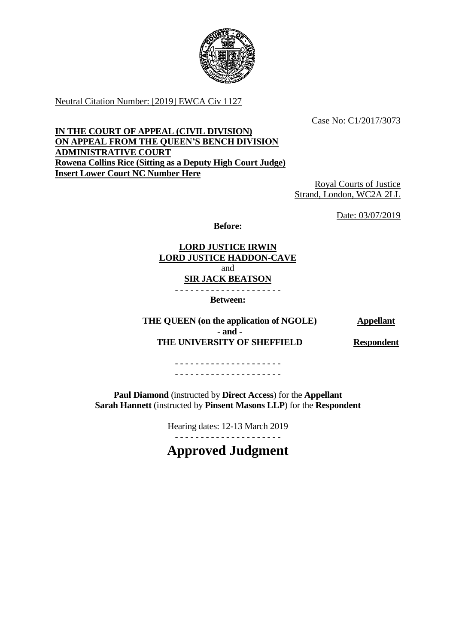

Neutral Citation Number: [2019] EWCA Civ 1127

Case No: C1/2017/3073

# **IN THE COURT OF APPEAL (CIVIL DIVISION) ON APPEAL FROM THE QUEEN'S BENCH DIVISION ADMINISTRATIVE COURT Rowena Collins Rice (Sitting as a Deputy High Court Judge) Insert Lower Court NC Number Here**

Royal Courts of Justice Strand, London, WC2A 2LL

Date: 03/07/2019

**Before:**

**LORD JUSTICE IRWIN LORD JUSTICE HADDON-CAVE** and **SIR JACK BEATSON**

- - - - - - - - - - - - - - - - - - - - -

**Between:**

THE QUEEN (on the application of NGOLE) **Appellant - and - THE UNIVERSITY OF SHEFFIELD Respondent**

- - - - - - - - - - - - - - - - - - - - - - - - - - - - - - - - - - - - - - - - - -

**Paul Diamond** (instructed by **Direct Access**) for the **Appellant Sarah Hannett** (instructed by **Pinsent Masons LLP**) for the **Respondent**

Hearing dates: 12-13 March 2019

- - - - - - - - - - - - - - - - - - - - -

**Approved Judgment**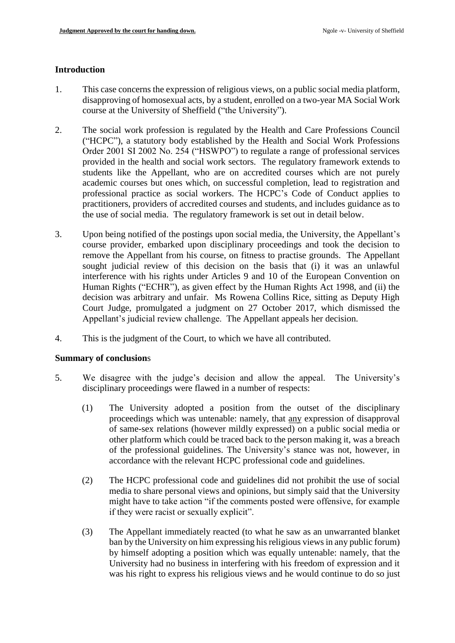### **Introduction**

- 1. This case concerns the expression of religious views, on a public social media platform, disapproving of homosexual acts, by a student, enrolled on a two-year MA Social Work course at the University of Sheffield ("the University").
- 2. The social work profession is regulated by the Health and Care Professions Council ("HCPC"), a statutory body established by the Health and Social Work Professions Order 2001 SI 2002 No. 254 ("HSWPO") to regulate a range of professional services provided in the health and social work sectors. The regulatory framework extends to students like the Appellant, who are on accredited courses which are not purely academic courses but ones which, on successful completion, lead to registration and professional practice as social workers. The HCPC's Code of Conduct applies to practitioners, providers of accredited courses and students, and includes guidance as to the use of social media. The regulatory framework is set out in detail below.
- 3. Upon being notified of the postings upon social media, the University, the Appellant's course provider, embarked upon disciplinary proceedings and took the decision to remove the Appellant from his course, on fitness to practise grounds. The Appellant sought judicial review of this decision on the basis that (i) it was an unlawful interference with his rights under Articles 9 and 10 of the European Convention on Human Rights ("ECHR"), as given effect by the Human Rights Act 1998, and (ii) the decision was arbitrary and unfair. Ms Rowena Collins Rice, sitting as Deputy High Court Judge, promulgated a judgment on 27 October 2017, which dismissed the Appellant's judicial review challenge. The Appellant appeals her decision.
- 4. This is the judgment of the Court, to which we have all contributed.

#### **Summary of conclusion**s

- 5. We disagree with the judge's decision and allow the appeal. The University's disciplinary proceedings were flawed in a number of respects:
	- (1) The University adopted a position from the outset of the disciplinary proceedings which was untenable: namely, that any expression of disapproval of same-sex relations (however mildly expressed) on a public social media or other platform which could be traced back to the person making it, was a breach of the professional guidelines. The University's stance was not, however, in accordance with the relevant HCPC professional code and guidelines.
	- (2) The HCPC professional code and guidelines did not prohibit the use of social media to share personal views and opinions, but simply said that the University might have to take action "if the comments posted were offensive, for example if they were racist or sexually explicit".
	- (3) The Appellant immediately reacted (to what he saw as an unwarranted blanket ban by the University on him expressing his religious views in any public forum) by himself adopting a position which was equally untenable: namely, that the University had no business in interfering with his freedom of expression and it was his right to express his religious views and he would continue to do so just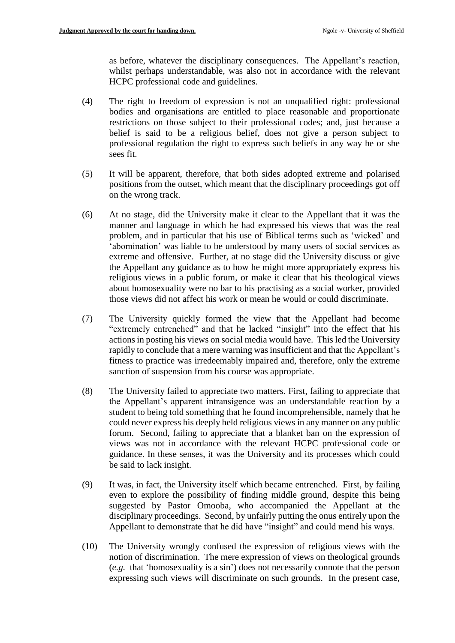as before, whatever the disciplinary consequences. The Appellant's reaction, whilst perhaps understandable, was also not in accordance with the relevant HCPC professional code and guidelines.

- (4) The right to freedom of expression is not an unqualified right: professional bodies and organisations are entitled to place reasonable and proportionate restrictions on those subject to their professional codes; and, just because a belief is said to be a religious belief, does not give a person subject to professional regulation the right to express such beliefs in any way he or she sees fit.
- (5) It will be apparent, therefore, that both sides adopted extreme and polarised positions from the outset, which meant that the disciplinary proceedings got off on the wrong track.
- (6) At no stage, did the University make it clear to the Appellant that it was the manner and language in which he had expressed his views that was the real problem, and in particular that his use of Biblical terms such as 'wicked' and 'abomination' was liable to be understood by many users of social services as extreme and offensive. Further, at no stage did the University discuss or give the Appellant any guidance as to how he might more appropriately express his religious views in a public forum, or make it clear that his theological views about homosexuality were no bar to his practising as a social worker, provided those views did not affect his work or mean he would or could discriminate.
- (7) The University quickly formed the view that the Appellant had become "extremely entrenched" and that he lacked "insight" into the effect that his actions in posting his views on social media would have. This led the University rapidly to conclude that a mere warning was insufficient and that the Appellant's fitness to practice was irredeemably impaired and, therefore, only the extreme sanction of suspension from his course was appropriate.
- (8) The University failed to appreciate two matters. First, failing to appreciate that the Appellant's apparent intransigence was an understandable reaction by a student to being told something that he found incomprehensible, namely that he could never express his deeply held religious views in any manner on any public forum. Second, failing to appreciate that a blanket ban on the expression of views was not in accordance with the relevant HCPC professional code or guidance. In these senses, it was the University and its processes which could be said to lack insight.
- (9) It was, in fact, the University itself which became entrenched. First, by failing even to explore the possibility of finding middle ground, despite this being suggested by Pastor Omooba, who accompanied the Appellant at the disciplinary proceedings. Second, by unfairly putting the onus entirely upon the Appellant to demonstrate that he did have "insight" and could mend his ways.
- (10) The University wrongly confused the expression of religious views with the notion of discrimination. The mere expression of views on theological grounds (*e.g.* that 'homosexuality is a sin') does not necessarily connote that the person expressing such views will discriminate on such grounds. In the present case,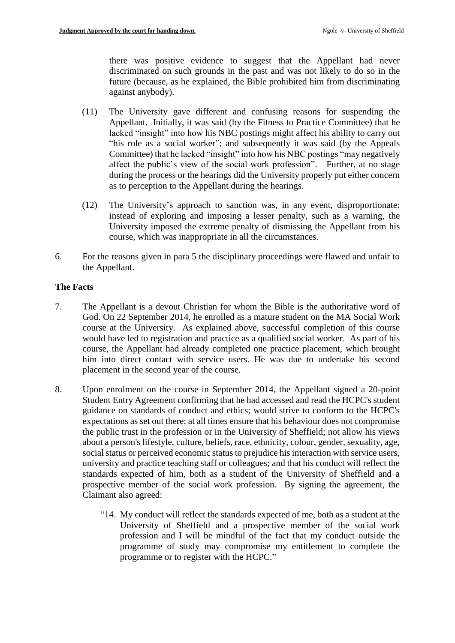there was positive evidence to suggest that the Appellant had never discriminated on such grounds in the past and was not likely to do so in the future (because, as he explained, the Bible prohibited him from discriminating against anybody).

- (11) The University gave different and confusing reasons for suspending the Appellant. Initially, it was said (by the Fitness to Practice Committee) that he lacked "insight" into how his NBC postings might affect his ability to carry out "his role as a social worker"; and subsequently it was said (by the Appeals Committee) that he lacked "insight" into how his NBC postings "may negatively affect the public's view of the social work profession". Further, at no stage during the process or the hearings did the University properly put either concern as to perception to the Appellant during the hearings.
- (12) The University's approach to sanction was, in any event, disproportionate: instead of exploring and imposing a lesser penalty, such as a warning, the University imposed the extreme penalty of dismissing the Appellant from his course, which was inappropriate in all the circumstances.
- 6. For the reasons given in para 5 the disciplinary proceedings were flawed and unfair to the Appellant.

# **The Facts**

- 7. The Appellant is a devout Christian for whom the Bible is the authoritative word of God. On 22 September 2014, he enrolled as a mature student on the MA Social Work course at the University. As explained above, successful completion of this course would have led to registration and practice as a qualified social worker. As part of his course, the Appellant had already completed one practice placement, which brought him into direct contact with service users. He was due to undertake his second placement in the second year of the course.
- 8. Upon enrolment on the course in September 2014, the Appellant signed a 20-point Student Entry Agreement confirming that he had accessed and read the HCPC's student guidance on standards of conduct and ethics; would strive to conform to the HCPC's expectations as set out there; at all times ensure that his behaviour does not compromise the public trust in the profession or in the University of Sheffield; not allow his views about a person's lifestyle, culture, beliefs, race, ethnicity, colour, gender, sexuality, age, social status or perceived economic status to prejudice his interaction with service users, university and practice teaching staff or colleagues; and that his conduct will reflect the standards expected of him, both as a student of the University of Sheffield and a prospective member of the social work profession. By signing the agreement, the Claimant also agreed:
	- "14. My conduct will reflect the standards expected of me, both as a student at the University of Sheffield and a prospective member of the social work profession and I will be mindful of the fact that my conduct outside the programme of study may compromise my entitlement to complete the programme or to register with the HCPC."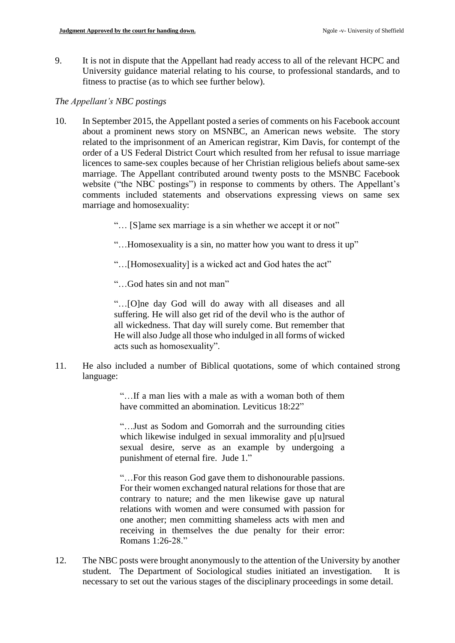9. It is not in dispute that the Appellant had ready access to all of the relevant HCPC and University guidance material relating to his course, to professional standards, and to fitness to practise (as to which see further below).

### *The Appellant's NBC postings*

- 10. In September 2015, the Appellant posted a series of comments on his Facebook account about a prominent news story on MSNBC, an American news website. The story related to the imprisonment of an American registrar, Kim Davis, for contempt of the order of a US Federal District Court which resulted from her refusal to issue marriage licences to same-sex couples because of her Christian religious beliefs about same-sex marriage. The Appellant contributed around twenty posts to the MSNBC Facebook website ("the NBC postings") in response to comments by others. The Appellant's comments included statements and observations expressing views on same sex marriage and homosexuality:
	- "… [S]ame sex marriage is a sin whether we accept it or not"
	- "…Homosexuality is a sin, no matter how you want to dress it up"
	- "…[Homosexuality] is a wicked act and God hates the act"
	- "…God hates sin and not man"

"…[O]ne day God will do away with all diseases and all suffering. He will also get rid of the devil who is the author of all wickedness. That day will surely come. But remember that He will also Judge all those who indulged in all forms of wicked acts such as homosexuality".

11. He also included a number of Biblical quotations, some of which contained strong language:

> "…If a man lies with a male as with a woman both of them have committed an abomination. Leviticus 18:22"

> "…Just as Sodom and Gomorrah and the surrounding cities which likewise indulged in sexual immorality and p[u]rsued sexual desire, serve as an example by undergoing a punishment of eternal fire. Jude 1."

> "…For this reason God gave them to dishonourable passions. For their women exchanged natural relations for those that are contrary to nature; and the men likewise gave up natural relations with women and were consumed with passion for one another; men committing shameless acts with men and receiving in themselves the due penalty for their error: Romans 1:26-28."

12. The NBC posts were brought anonymously to the attention of the University by another student. The Department of Sociological studies initiated an investigation. It is necessary to set out the various stages of the disciplinary proceedings in some detail.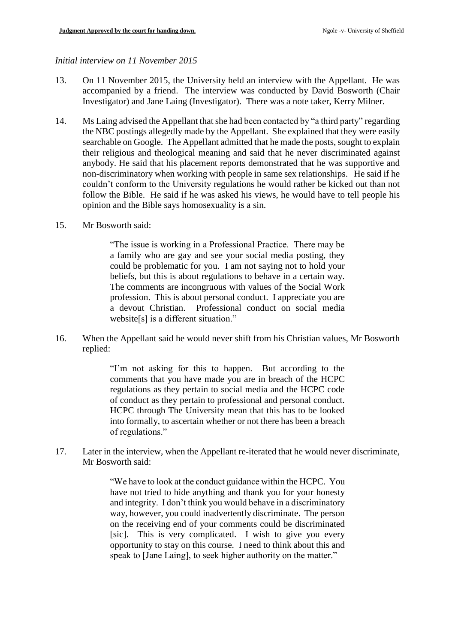#### *Initial interview on 11 November 2015*

- 13. On 11 November 2015, the University held an interview with the Appellant. He was accompanied by a friend. The interview was conducted by David Bosworth (Chair Investigator) and Jane Laing (Investigator). There was a note taker, Kerry Milner.
- 14. Ms Laing advised the Appellant that she had been contacted by "a third party" regarding the NBC postings allegedly made by the Appellant. She explained that they were easily searchable on Google. The Appellant admitted that he made the posts, sought to explain their religious and theological meaning and said that he never discriminated against anybody. He said that his placement reports demonstrated that he was supportive and non-discriminatory when working with people in same sex relationships. He said if he couldn't conform to the University regulations he would rather be kicked out than not follow the Bible. He said if he was asked his views, he would have to tell people his opinion and the Bible says homosexuality is a sin.
- 15. Mr Bosworth said:

"The issue is working in a Professional Practice. There may be a family who are gay and see your social media posting, they could be problematic for you. I am not saying not to hold your beliefs, but this is about regulations to behave in a certain way. The comments are incongruous with values of the Social Work profession. This is about personal conduct. I appreciate you are a devout Christian. Professional conduct on social media website[s] is a different situation."

16. When the Appellant said he would never shift from his Christian values, Mr Bosworth replied:

> "I'm not asking for this to happen. But according to the comments that you have made you are in breach of the HCPC regulations as they pertain to social media and the HCPC code of conduct as they pertain to professional and personal conduct. HCPC through The University mean that this has to be looked into formally, to ascertain whether or not there has been a breach of regulations."

17. Later in the interview, when the Appellant re-iterated that he would never discriminate, Mr Bosworth said:

> "We have to look at the conduct guidance within the HCPC. You have not tried to hide anything and thank you for your honesty and integrity. I don't think you would behave in a discriminatory way, however, you could inadvertently discriminate. The person on the receiving end of your comments could be discriminated [sic]. This is very complicated. I wish to give you every opportunity to stay on this course. I need to think about this and speak to [Jane Laing], to seek higher authority on the matter."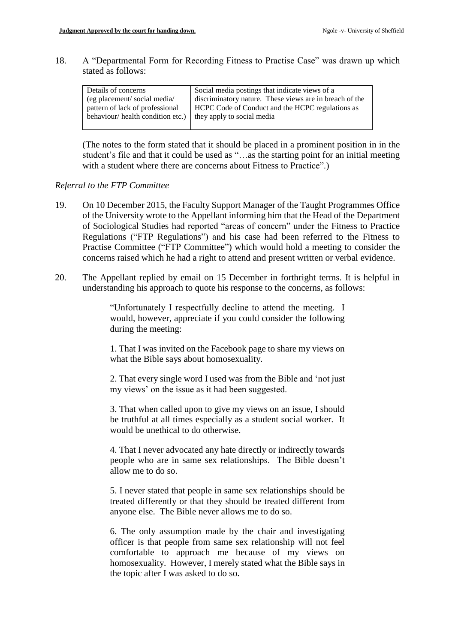18. A "Departmental Form for Recording Fitness to Practise Case" was drawn up which stated as follows:

| Details of concerns              | Social media postings that indicate views of a          |
|----------------------------------|---------------------------------------------------------|
| (eg placement/social media/      | discriminatory nature. These views are in breach of the |
| pattern of lack of professional  | <b>HCPC</b> Code of Conduct and the HCPC regulations as |
| behaviour/health condition etc.) | they apply to social media                              |
|                                  |                                                         |

(The notes to the form stated that it should be placed in a prominent position in in the student's file and that it could be used as "…as the starting point for an initial meeting with a student where there are concerns about Fitness to Practice".)

#### *Referral to the FTP Committee*

- 19. On 10 December 2015, the Faculty Support Manager of the Taught Programmes Office of the University wrote to the Appellant informing him that the Head of the Department of Sociological Studies had reported "areas of concern" under the Fitness to Practice Regulations ("FTP Regulations") and his case had been referred to the Fitness to Practise Committee ("FTP Committee") which would hold a meeting to consider the concerns raised which he had a right to attend and present written or verbal evidence.
- 20. The Appellant replied by email on 15 December in forthright terms. It is helpful in understanding his approach to quote his response to the concerns, as follows:

"Unfortunately I respectfully decline to attend the meeting. I would, however, appreciate if you could consider the following during the meeting:

1. That I was invited on the Facebook page to share my views on what the Bible says about homosexuality.

2. That every single word I used was from the Bible and 'not just my views' on the issue as it had been suggested.

3. That when called upon to give my views on an issue, I should be truthful at all times especially as a student social worker. It would be unethical to do otherwise.

4. That I never advocated any hate directly or indirectly towards people who are in same sex relationships. The Bible doesn't allow me to do so.

5. I never stated that people in same sex relationships should be treated differently or that they should be treated different from anyone else. The Bible never allows me to do so.

6. The only assumption made by the chair and investigating officer is that people from same sex relationship will not feel comfortable to approach me because of my views on homosexuality. However, I merely stated what the Bible says in the topic after I was asked to do so.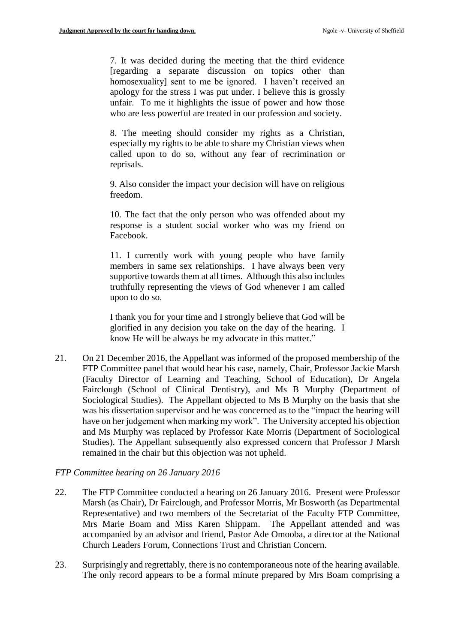7. It was decided during the meeting that the third evidence [regarding a separate discussion on topics other than homosexuality] sent to me be ignored. I haven't received an apology for the stress I was put under. I believe this is grossly unfair. To me it highlights the issue of power and how those who are less powerful are treated in our profession and society.

8. The meeting should consider my rights as a Christian, especially my rights to be able to share my Christian views when called upon to do so, without any fear of recrimination or reprisals.

9. Also consider the impact your decision will have on religious freedom.

10. The fact that the only person who was offended about my response is a student social worker who was my friend on Facebook.

11. I currently work with young people who have family members in same sex relationships. I have always been very supportive towards them at all times. Although this also includes truthfully representing the views of God whenever I am called upon to do so.

I thank you for your time and I strongly believe that God will be glorified in any decision you take on the day of the hearing. I know He will be always be my advocate in this matter."

21. On 21 December 2016, the Appellant was informed of the proposed membership of the FTP Committee panel that would hear his case, namely, Chair, Professor Jackie Marsh (Faculty Director of Learning and Teaching, School of Education), Dr Angela Fairclough (School of Clinical Dentistry), and Ms B Murphy (Department of Sociological Studies). The Appellant objected to Ms B Murphy on the basis that she was his dissertation supervisor and he was concerned as to the "impact the hearing will have on her judgement when marking my work". The University accepted his objection and Ms Murphy was replaced by Professor Kate Morris (Department of Sociological Studies). The Appellant subsequently also expressed concern that Professor J Marsh remained in the chair but this objection was not upheld.

### *FTP Committee hearing on 26 January 2016*

- 22. The FTP Committee conducted a hearing on 26 January 2016. Present were Professor Marsh (as Chair), Dr Fairclough, and Professor Morris, Mr Bosworth (as Departmental Representative) and two members of the Secretariat of the Faculty FTP Committee, Mrs Marie Boam and Miss Karen Shippam. The Appellant attended and was accompanied by an advisor and friend, Pastor Ade Omooba, a director at the National Church Leaders Forum, Connections Trust and Christian Concern.
- 23. Surprisingly and regrettably, there is no contemporaneous note of the hearing available. The only record appears to be a formal minute prepared by Mrs Boam comprising a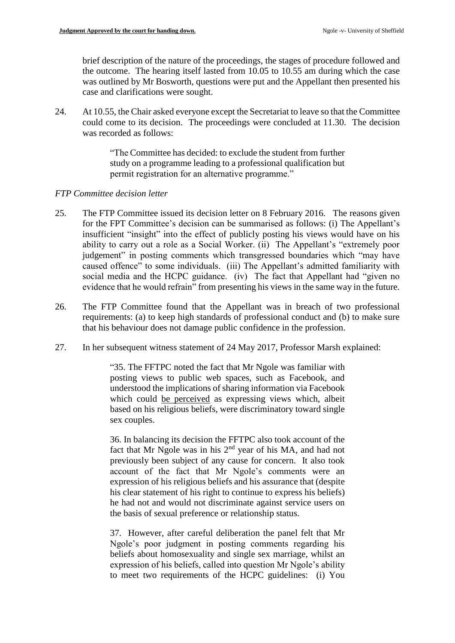brief description of the nature of the proceedings, the stages of procedure followed and the outcome. The hearing itself lasted from 10.05 to 10.55 am during which the case was outlined by Mr Bosworth, questions were put and the Appellant then presented his case and clarifications were sought.

24. At 10.55, the Chair asked everyone except the Secretariat to leave so that the Committee could come to its decision. The proceedings were concluded at 11.30. The decision was recorded as follows:

> "The Committee has decided: to exclude the student from further study on a programme leading to a professional qualification but permit registration for an alternative programme."

# *FTP Committee decision letter*

- 25. The FTP Committee issued its decision letter on 8 February 2016. The reasons given for the FPT Committee's decision can be summarised as follows: (i) The Appellant's insufficient "insight" into the effect of publicly posting his views would have on his ability to carry out a role as a Social Worker. (ii) The Appellant's "extremely poor judgement" in posting comments which transgressed boundaries which "may have caused offence" to some individuals. (iii) The Appellant's admitted familiarity with social media and the HCPC guidance. (iv) The fact that Appellant had "given no evidence that he would refrain" from presenting his views in the same way in the future.
- 26. The FTP Committee found that the Appellant was in breach of two professional requirements: (a) to keep high standards of professional conduct and (b) to make sure that his behaviour does not damage public confidence in the profession.
- 27. In her subsequent witness statement of 24 May 2017, Professor Marsh explained:

"35. The FFTPC noted the fact that Mr Ngole was familiar with posting views to public web spaces, such as Facebook, and understood the implications of sharing information via Facebook which could be perceived as expressing views which, albeit based on his religious beliefs, were discriminatory toward single sex couples.

36. In balancing its decision the FFTPC also took account of the fact that Mr Ngole was in his 2nd year of his MA, and had not previously been subject of any cause for concern. It also took account of the fact that Mr Ngole's comments were an expression of his religious beliefs and his assurance that (despite his clear statement of his right to continue to express his beliefs) he had not and would not discriminate against service users on the basis of sexual preference or relationship status.

37. However, after careful deliberation the panel felt that Mr Ngole's poor judgment in posting comments regarding his beliefs about homosexuality and single sex marriage, whilst an expression of his beliefs, called into question Mr Ngole's ability to meet two requirements of the HCPC guidelines: (i) You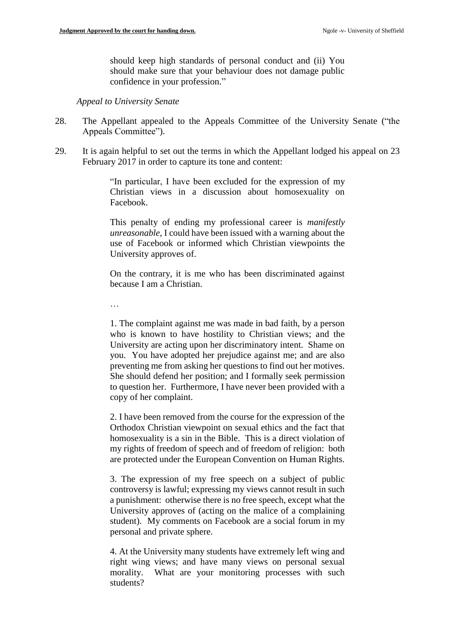should keep high standards of personal conduct and (ii) You should make sure that your behaviour does not damage public confidence in your profession."

*Appeal to University Senate*

- 28. The Appellant appealed to the Appeals Committee of the University Senate ("the Appeals Committee").
- 29. It is again helpful to set out the terms in which the Appellant lodged his appeal on 23 February 2017 in order to capture its tone and content:

"In particular, I have been excluded for the expression of my Christian views in a discussion about homosexuality on Facebook.

This penalty of ending my professional career is *manifestly unreasonable*, I could have been issued with a warning about the use of Facebook or informed which Christian viewpoints the University approves of.

On the contrary, it is me who has been discriminated against because I am a Christian.

…

1. The complaint against me was made in bad faith, by a person who is known to have hostility to Christian views; and the University are acting upon her discriminatory intent. Shame on you. You have adopted her prejudice against me; and are also preventing me from asking her questions to find out her motives. She should defend her position; and I formally seek permission to question her. Furthermore, I have never been provided with a copy of her complaint.

2. I have been removed from the course for the expression of the Orthodox Christian viewpoint on sexual ethics and the fact that homosexuality is a sin in the Bible. This is a direct violation of my rights of freedom of speech and of freedom of religion: both are protected under the European Convention on Human Rights.

3. The expression of my free speech on a subject of public controversy is lawful; expressing my views cannot result in such a punishment: otherwise there is no free speech, except what the University approves of (acting on the malice of a complaining student). My comments on Facebook are a social forum in my personal and private sphere.

4. At the University many students have extremely left wing and right wing views; and have many views on personal sexual morality. What are your monitoring processes with such students?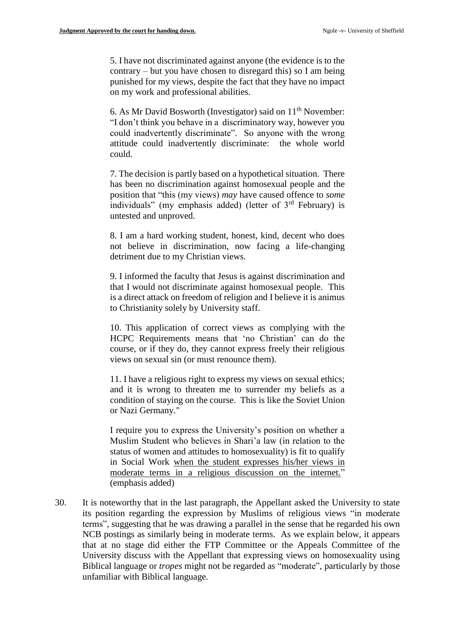5. I have not discriminated against anyone (the evidence is to the contrary – but you have chosen to disregard this) so I am being punished for my views, despite the fact that they have no impact on my work and professional abilities.

6. As Mr David Bosworth (Investigator) said on  $11<sup>th</sup>$  November: "I don't think you behave in a discriminatory way, however you could inadvertently discriminate". So anyone with the wrong attitude could inadvertently discriminate: the whole world could.

7. The decision is partly based on a hypothetical situation. There has been no discrimination against homosexual people and the position that "this (my views) *may* have caused offence to *some* individuals" (my emphasis added) (letter of 3rd February) is untested and unproved.

8. I am a hard working student, honest, kind, decent who does not believe in discrimination, now facing a life-changing detriment due to my Christian views.

9. I informed the faculty that Jesus is against discrimination and that I would not discriminate against homosexual people. This is a direct attack on freedom of religion and I believe it is animus to Christianity solely by University staff.

10. This application of correct views as complying with the HCPC Requirements means that 'no Christian' can do the course, or if they do, they cannot express freely their religious views on sexual sin (or must renounce them).

11. I have a religious right to express my views on sexual ethics; and it is wrong to threaten me to surrender my beliefs as a condition of staying on the course. This is like the Soviet Union or Nazi Germany."

I require you to express the University's position on whether a Muslim Student who believes in Shari'a law (in relation to the status of women and attitudes to homosexuality) is fit to qualify in Social Work when the student expresses his/her views in moderate terms in a religious discussion on the internet." (emphasis added)

30. It is noteworthy that in the last paragraph, the Appellant asked the University to state its position regarding the expression by Muslims of religious views "in moderate terms", suggesting that he was drawing a parallel in the sense that he regarded his own NCB postings as similarly being in moderate terms. As we explain below, it appears that at no stage did either the FTP Committee or the Appeals Committee of the University discuss with the Appellant that expressing views on homosexuality using Biblical language or *tropes* might not be regarded as "moderate", particularly by those unfamiliar with Biblical language.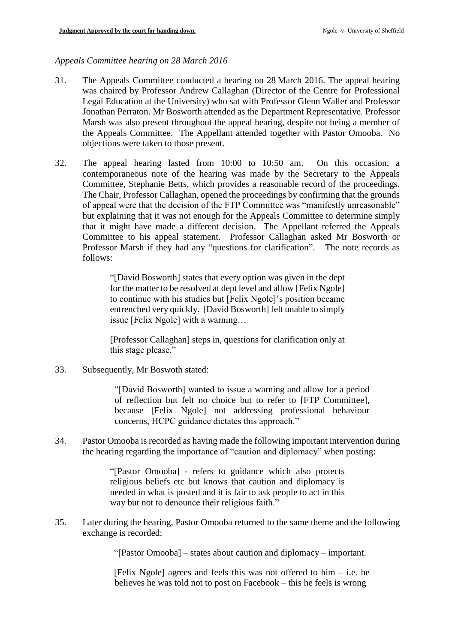# *Appeals Committee hearing on 28 March 2016*

- 31. The Appeals Committee conducted a hearing on 28 March 2016. The appeal hearing was chaired by Professor Andrew Callaghan (Director of the Centre for Professional Legal Education at the University) who sat with Professor Glenn Waller and Professor Jonathan Perraton. Mr Bosworth attended as the Department Representative. Professor Marsh was also present throughout the appeal hearing, despite not being a member of the Appeals Committee. The Appellant attended together with Pastor Omooba. No objections were taken to those present.
- 32. The appeal hearing lasted from 10:00 to 10:50 am. On this occasion, a contemporaneous note of the hearing was made by the Secretary to the Appeals Committee, Stephanie Betts, which provides a reasonable record of the proceedings. The Chair, Professor Callaghan, opened the proceedings by confirming that the grounds of appeal were that the decision of the FTP Committee was "manifestly unreasonable" but explaining that it was not enough for the Appeals Committee to determine simply that it might have made a different decision. The Appellant referred the Appeals Committee to his appeal statement. Professor Callaghan asked Mr Bosworth or Professor Marsh if they had any "questions for clarification". The note records as follows:

"[David Bosworth] states that every option was given in the dept for the matter to be resolved at dept level and allow [Felix Ngole] to continue with his studies but [Felix Ngole]'s position became entrenched very quickly. [David Bosworth] felt unable to simply issue [Felix Ngole] with a warning…

[Professor Callaghan] steps in, questions for clarification only at this stage please."

33. Subsequently, Mr Boswoth stated:

"[David Bosworth] wanted to issue a warning and allow for a period of reflection but felt no choice but to refer to [FTP Committee], because [Felix Ngole] not addressing professional behaviour concerns, HCPC guidance dictates this approach."

34. Pastor Omooba is recorded as having made the following important intervention during the hearing regarding the importance of "caution and diplomacy" when posting:

> "[Pastor Omooba] - refers to guidance which also protects religious beliefs etc but knows that caution and diplomacy is needed in what is posted and it is fair to ask people to act in this way but not to denounce their religious faith."

35. Later during the hearing, Pastor Omooba returned to the same theme and the following exchange is recorded:

"[Pastor Omooba] – states about caution and diplomacy – important.

[Felix Ngole] agrees and feels this was not offered to  $him - i.e.$  he believes he was told not to post on Facebook – this he feels is wrong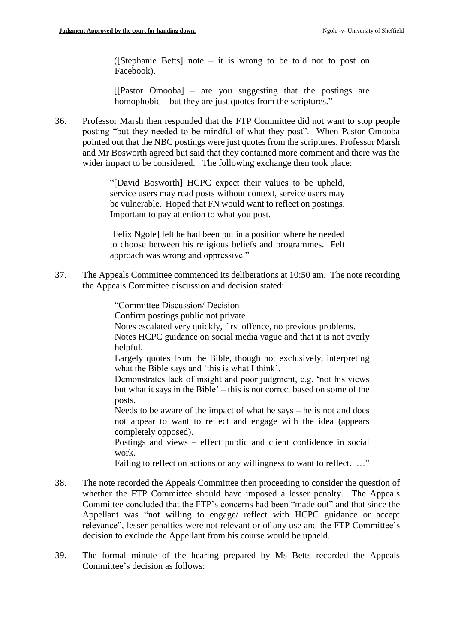([Stephanie Betts] note – it is wrong to be told not to post on Facebook).

[[Pastor Omooba] – are you suggesting that the postings are homophobic – but they are just quotes from the scriptures."

36. Professor Marsh then responded that the FTP Committee did not want to stop people posting "but they needed to be mindful of what they post". When Pastor Omooba pointed out that the NBC postings were just quotes from the scriptures, Professor Marsh and Mr Bosworth agreed but said that they contained more comment and there was the wider impact to be considered. The following exchange then took place:

> "[David Bosworth] HCPC expect their values to be upheld, service users may read posts without context, service users may be vulnerable. Hoped that FN would want to reflect on postings. Important to pay attention to what you post.

> [Felix Ngole] felt he had been put in a position where he needed to choose between his religious beliefs and programmes. Felt approach was wrong and oppressive."

37. The Appeals Committee commenced its deliberations at 10:50 am. The note recording the Appeals Committee discussion and decision stated:

"Committee Discussion/ Decision

Confirm postings public not private

Notes escalated very quickly, first offence, no previous problems.

Notes HCPC guidance on social media vague and that it is not overly helpful.

Largely quotes from the Bible, though not exclusively, interpreting what the Bible says and 'this is what I think'.

Demonstrates lack of insight and poor judgment, e.g. 'not his views but what it says in the Bible' – this is not correct based on some of the posts.

Needs to be aware of the impact of what he says – he is not and does not appear to want to reflect and engage with the idea (appears completely opposed).

Postings and views – effect public and client confidence in social work.

Failing to reflect on actions or any willingness to want to reflect. ..."

- 38. The note recorded the Appeals Committee then proceeding to consider the question of whether the FTP Committee should have imposed a lesser penalty. The Appeals Committee concluded that the FTP's concerns had been "made out" and that since the Appellant was "not willing to engage/ reflect with HCPC guidance or accept relevance", lesser penalties were not relevant or of any use and the FTP Committee's decision to exclude the Appellant from his course would be upheld.
- 39. The formal minute of the hearing prepared by Ms Betts recorded the Appeals Committee's decision as follows: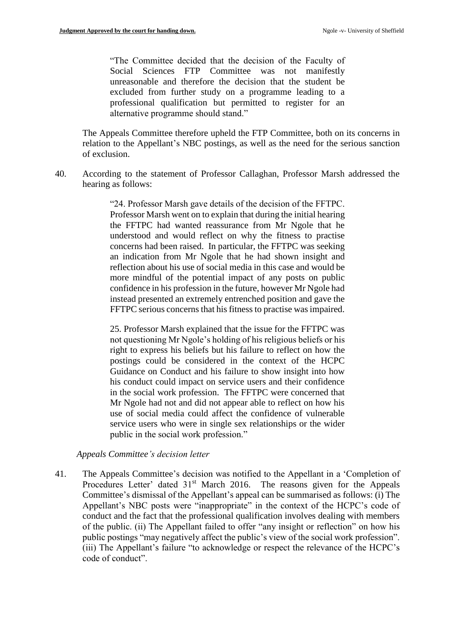"The Committee decided that the decision of the Faculty of Social Sciences FTP Committee was not manifestly unreasonable and therefore the decision that the student be excluded from further study on a programme leading to a professional qualification but permitted to register for an alternative programme should stand."

The Appeals Committee therefore upheld the FTP Committee, both on its concerns in relation to the Appellant's NBC postings, as well as the need for the serious sanction of exclusion.

40. According to the statement of Professor Callaghan, Professor Marsh addressed the hearing as follows:

> "24. Professor Marsh gave details of the decision of the FFTPC. Professor Marsh went on to explain that during the initial hearing the FFTPC had wanted reassurance from Mr Ngole that he understood and would reflect on why the fitness to practise concerns had been raised. In particular, the FFTPC was seeking an indication from Mr Ngole that he had shown insight and reflection about his use of social media in this case and would be more mindful of the potential impact of any posts on public confidence in his profession in the future, however Mr Ngole had instead presented an extremely entrenched position and gave the FFTPC serious concerns that his fitness to practise was impaired.

> 25. Professor Marsh explained that the issue for the FFTPC was not questioning Mr Ngole's holding of his religious beliefs or his right to express his beliefs but his failure to reflect on how the postings could be considered in the context of the HCPC Guidance on Conduct and his failure to show insight into how his conduct could impact on service users and their confidence in the social work profession. The FFTPC were concerned that Mr Ngole had not and did not appear able to reflect on how his use of social media could affect the confidence of vulnerable service users who were in single sex relationships or the wider public in the social work profession."

*Appeals Committee's decision letter*

41. The Appeals Committee's decision was notified to the Appellant in a 'Completion of Procedures Letter' dated 31<sup>st</sup> March 2016. The reasons given for the Appeals Committee's dismissal of the Appellant's appeal can be summarised as follows: (i) The Appellant's NBC posts were "inappropriate" in the context of the HCPC's code of conduct and the fact that the professional qualification involves dealing with members of the public. (ii) The Appellant failed to offer "any insight or reflection" on how his public postings "may negatively affect the public's view of the social work profession". (iii) The Appellant's failure "to acknowledge or respect the relevance of the HCPC's code of conduct".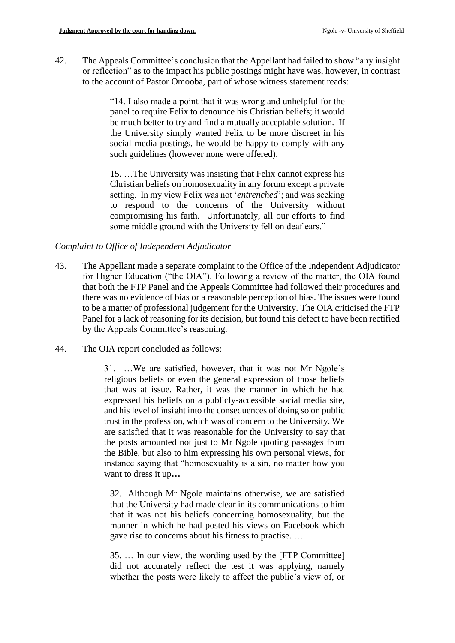42. The Appeals Committee's conclusion that the Appellant had failed to show "any insight or reflection" as to the impact his public postings might have was, however, in contrast to the account of Pastor Omooba, part of whose witness statement reads:

> "14. I also made a point that it was wrong and unhelpful for the panel to require Felix to denounce his Christian beliefs; it would be much better to try and find a mutually acceptable solution. If the University simply wanted Felix to be more discreet in his social media postings, he would be happy to comply with any such guidelines (however none were offered).

> 15. …The University was insisting that Felix cannot express his Christian beliefs on homosexuality in any forum except a private setting. In my view Felix was not '*entrenched*'; and was seeking to respond to the concerns of the University without compromising his faith. Unfortunately, all our efforts to find some middle ground with the University fell on deaf ears."

#### *Complaint to Office of Independent Adjudicator*

- 43. The Appellant made a separate complaint to the Office of the Independent Adjudicator for Higher Education ("the OIA"). Following a review of the matter, the OIA found that both the FTP Panel and the Appeals Committee had followed their procedures and there was no evidence of bias or a reasonable perception of bias. The issues were found to be a matter of professional judgement for the University. The OIA criticised the FTP Panel for a lack of reasoning for its decision, but found this defect to have been rectified by the Appeals Committee's reasoning.
- 44. The OIA report concluded as follows:

31. …We are satisfied, however, that it was not Mr Ngole's religious beliefs or even the general expression of those beliefs that was at issue. Rather, it was the manner in which he had expressed his beliefs on a publicly-accessible social media site**,** and his level of insight into the consequences of doing so on public trust in the profession, which was of concern to the University. We are satisfied that it was reasonable for the University to say that the posts amounted not just to Mr Ngole quoting passages from the Bible, but also to him expressing his own personal views, for instance saying that "homosexuality is a sin, no matter how you want to dress it up**…** 

32. Although Mr Ngole maintains otherwise, we are satisfied that the University had made clear in its communications to him that it was not his beliefs concerning homosexuality, but the manner in which he had posted his views on Facebook which gave rise to concerns about his fitness to practise. …

35. … In our view, the wording used by the [FTP Committee] did not accurately reflect the test it was applying, namely whether the posts were likely to affect the public's view of, or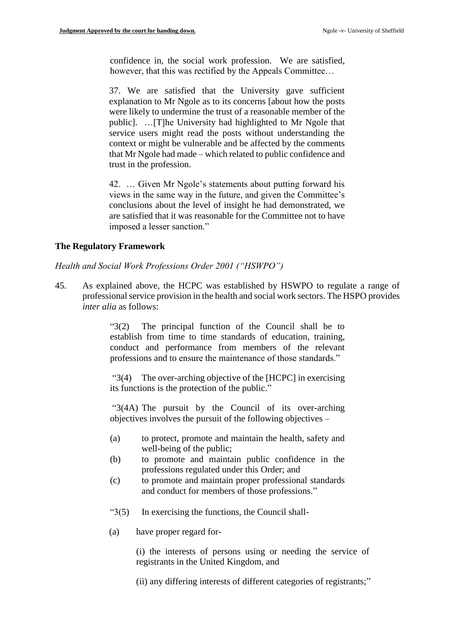confidence in, the social work profession. We are satisfied, however, that this was rectified by the Appeals Committee…

37. We are satisfied that the University gave sufficient explanation to Mr Ngole as to its concerns [about how the posts were likely to undermine the trust of a reasonable member of the public]. …[T]he University had highlighted to Mr Ngole that service users might read the posts without understanding the context or might be vulnerable and be affected by the comments that Mr Ngole had made – which related to public confidence and trust in the profession.

42. … Given Mr Ngole's statements about putting forward his views in the same way in the future, and given the Committee's conclusions about the level of insight he had demonstrated, we are satisfied that it was reasonable for the Committee not to have imposed a lesser sanction."

#### **The Regulatory Framework**

*Health and Social Work Professions Order 2001 ("HSWPO")*

45. As explained above, the HCPC was established by HSWPO to regulate a range of professional service provision in the health and social work sectors. The HSPO provides *inter alia* as follows:

> "3(2) The principal function of the Council shall be to establish from time to time standards of education, training, conduct and performance from members of the relevant professions and to ensure the maintenance of those standards."

> "3(4) The over-arching objective of the [HCPC] in exercising its functions is the protection of the public."

> "3(4A) The pursuit by the Council of its over-arching objectives involves the pursuit of the following objectives –

- (a) to protect, promote and maintain the health, safety and well-being of the public;
- (b) to promote and maintain public confidence in the professions regulated under this Order; and
- (c) to promote and maintain proper professional standards and conduct for members of those professions."
- "3(5) In exercising the functions, the Council shall-
- (a) have proper regard for-

(i) the interests of persons using or needing the service of registrants in the United Kingdom, and

(ii) any differing interests of different categories of registrants;"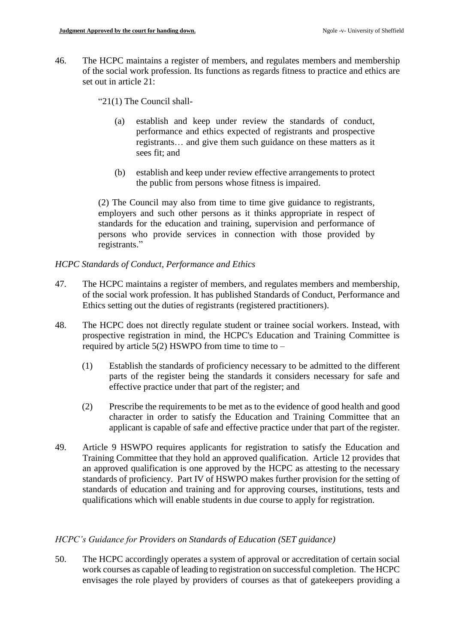46. The HCPC maintains a register of members, and regulates members and membership of the social work profession. Its functions as regards fitness to practice and ethics are set out in article 21:

"21(1) The Council shall-

- (a) establish and keep under review the standards of conduct, performance and ethics expected of registrants and prospective registrants… and give them such guidance on these matters as it sees fit; and
- (b) establish and keep under review effective arrangements to protect the public from persons whose fitness is impaired.

(2) The Council may also from time to time give guidance to registrants, employers and such other persons as it thinks appropriate in respect of standards for the education and training, supervision and performance of persons who provide services in connection with those provided by registrants."

# *HCPC Standards of Conduct, Performance and Ethics*

- 47. The HCPC maintains a register of members, and regulates members and membership, of the social work profession. It has published Standards of Conduct, Performance and Ethics setting out the duties of registrants (registered practitioners).
- 48. The HCPC does not directly regulate student or trainee social workers. Instead, with prospective registration in mind, the HCPC's Education and Training Committee is required by article  $5(2)$  HSWPO from time to time to –
	- (1) Establish the standards of proficiency necessary to be admitted to the different parts of the register being the standards it considers necessary for safe and effective practice under that part of the register; and
	- (2) Prescribe the requirements to be met as to the evidence of good health and good character in order to satisfy the Education and Training Committee that an applicant is capable of safe and effective practice under that part of the register.
- 49. Article 9 HSWPO requires applicants for registration to satisfy the Education and Training Committee that they hold an approved qualification. Article 12 provides that an approved qualification is one approved by the HCPC as attesting to the necessary standards of proficiency. Part IV of HSWPO makes further provision for the setting of standards of education and training and for approving courses, institutions, tests and qualifications which will enable students in due course to apply for registration.

# *HCPC's Guidance for Providers on Standards of Education (SET guidance)*

50. The HCPC accordingly operates a system of approval or accreditation of certain social work courses as capable of leading to registration on successful completion. The HCPC envisages the role played by providers of courses as that of gatekeepers providing a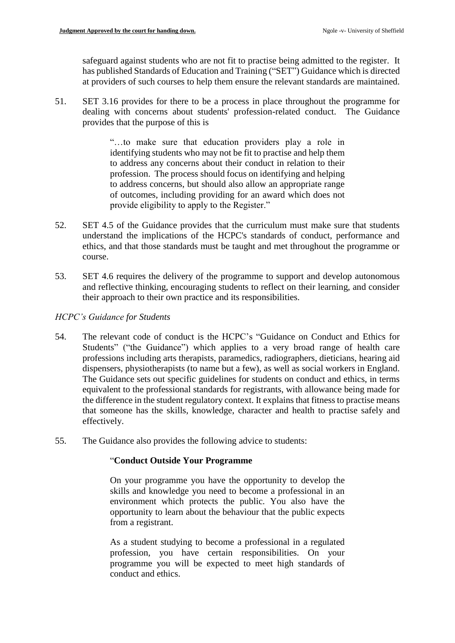safeguard against students who are not fit to practise being admitted to the register. It has published Standards of Education and Training ("SET") Guidance which is directed at providers of such courses to help them ensure the relevant standards are maintained.

51. SET 3.16 provides for there to be a process in place throughout the programme for dealing with concerns about students' profession-related conduct. The Guidance provides that the purpose of this is

> "…to make sure that education providers play a role in identifying students who may not be fit to practise and help them to address any concerns about their conduct in relation to their profession. The process should focus on identifying and helping to address concerns, but should also allow an appropriate range of outcomes, including providing for an award which does not provide eligibility to apply to the Register."

- 52. SET 4.5 of the Guidance provides that the curriculum must make sure that students understand the implications of the HCPC's standards of conduct, performance and ethics, and that those standards must be taught and met throughout the programme or course.
- 53. SET 4.6 requires the delivery of the programme to support and develop autonomous and reflective thinking, encouraging students to reflect on their learning, and consider their approach to their own practice and its responsibilities.

# *HCPC's Guidance for Students*

- 54. The relevant code of conduct is the HCPC's "Guidance on Conduct and Ethics for Students" ("the Guidance") which applies to a very broad range of health care professions including arts therapists, paramedics, radiographers, dieticians, hearing aid dispensers, physiotherapists (to name but a few), as well as social workers in England. The Guidance sets out specific guidelines for students on conduct and ethics, in terms equivalent to the professional standards for registrants, with allowance being made for the difference in the student regulatory context. It explains that fitness to practise means that someone has the skills, knowledge, character and health to practise safely and effectively.
- 55. The Guidance also provides the following advice to students:

# "**Conduct Outside Your Programme**

On your programme you have the opportunity to develop the skills and knowledge you need to become a professional in an environment which protects the public. You also have the opportunity to learn about the behaviour that the public expects from a registrant.

As a student studying to become a professional in a regulated profession, you have certain responsibilities. On your programme you will be expected to meet high standards of conduct and ethics.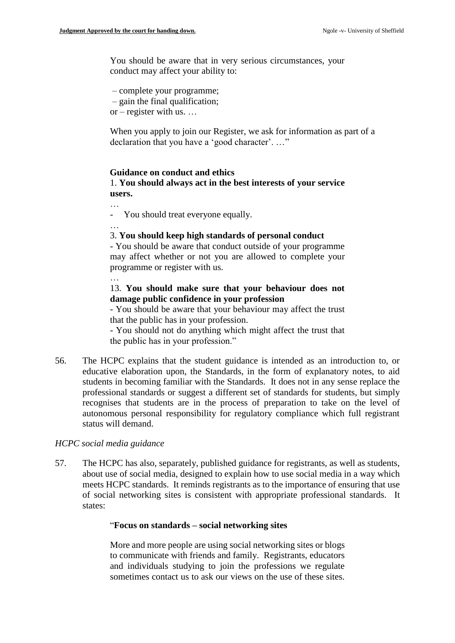You should be aware that in very serious circumstances, your conduct may affect your ability to:

- complete your programme;
- gain the final qualification;
- or register with us. …

When you apply to join our Register, we ask for information as part of a declaration that you have a 'good character'. …"

#### **Guidance on conduct and ethics**

1. **You should always act in the best interests of your service users.**

…

…

- You should treat everyone equally.

#### 3. **You should keep high standards of personal conduct**

- You should be aware that conduct outside of your programme may affect whether or not you are allowed to complete your programme or register with us.

…

### 13. **You should make sure that your behaviour does not damage public confidence in your profession**

- You should be aware that your behaviour may affect the trust that the public has in your profession.

- You should not do anything which might affect the trust that the public has in your profession."

56. The HCPC explains that the student guidance is intended as an introduction to, or educative elaboration upon, the Standards, in the form of explanatory notes, to aid students in becoming familiar with the Standards. It does not in any sense replace the professional standards or suggest a different set of standards for students, but simply recognises that students are in the process of preparation to take on the level of autonomous personal responsibility for regulatory compliance which full registrant status will demand.

#### *HCPC social media guidance*

57. The HCPC has also, separately, published guidance for registrants, as well as students, about use of social media, designed to explain how to use social media in a way which meets HCPC standards. It reminds registrants as to the importance of ensuring that use of social networking sites is consistent with appropriate professional standards. It states:

#### "**Focus on standards – social networking sites**

More and more people are using social networking sites or blogs to communicate with friends and family. Registrants, educators and individuals studying to join the professions we regulate sometimes contact us to ask our views on the use of these sites.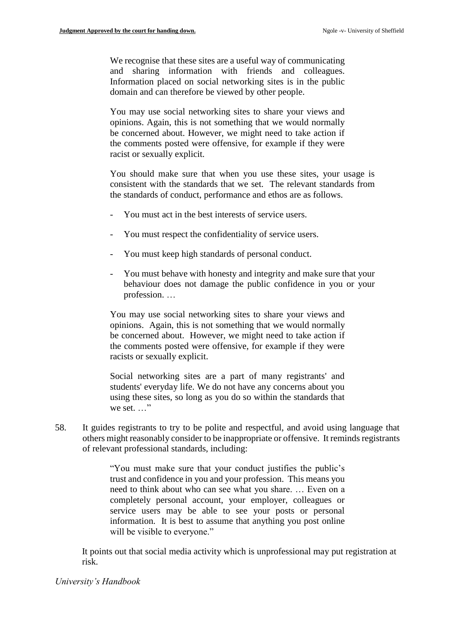We recognise that these sites are a useful way of communicating and sharing information with friends and colleagues. Information placed on social networking sites is in the public domain and can therefore be viewed by other people.

You may use social networking sites to share your views and opinions. Again, this is not something that we would normally be concerned about. However, we might need to take action if the comments posted were offensive, for example if they were racist or sexually explicit.

You should make sure that when you use these sites, your usage is consistent with the standards that we set. The relevant standards from the standards of conduct, performance and ethos are as follows.

- You must act in the best interests of service users.
- You must respect the confidentiality of service users.
- You must keep high standards of personal conduct.
- You must behave with honesty and integrity and make sure that your behaviour does not damage the public confidence in you or your profession. …

You may use social networking sites to share your views and opinions. Again, this is not something that we would normally be concerned about. However, we might need to take action if the comments posted were offensive, for example if they were racists or sexually explicit.

Social networking sites are a part of many registrants' and students' everyday life. We do not have any concerns about you using these sites, so long as you do so within the standards that we set. . . . "

58. It guides registrants to try to be polite and respectful, and avoid using language that others might reasonably consider to be inappropriate or offensive. It reminds registrants of relevant professional standards, including:

> "You must make sure that your conduct justifies the public's trust and confidence in you and your profession. This means you need to think about who can see what you share. … Even on a completely personal account, your employer, colleagues or service users may be able to see your posts or personal information. It is best to assume that anything you post online will be visible to everyone."

It points out that social media activity which is unprofessional may put registration at risk.

#### *University's Handbook*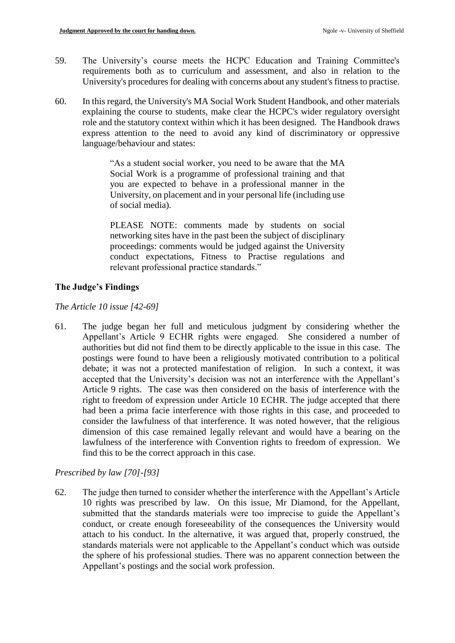- 59. The University's course meets the HCPC Education and Training Committee's requirements both as to curriculum and assessment, and also in relation to the University's procedures for dealing with concerns about any student's fitness to practise.
- 60. In this regard, the University's MA Social Work Student Handbook, and other materials explaining the course to students, make clear the HCPC's wider regulatory oversight role and the statutory context within which it has been designed. The Handbook draws express attention to the need to avoid any kind of discriminatory or oppressive language/behaviour and states:

"As a student social worker, you need to be aware that the MA Social Work is a programme of professional training and that you are expected to behave in a professional manner in the University, on placement and in your personal life (including use of social media).

PLEASE NOTE: comments made by students on social networking sites have in the past been the subject of disciplinary proceedings: comments would be judged against the University conduct expectations, Fitness to Practise regulations and relevant professional practice standards."

# **The Judge's Findings**

# *The Article 10 issue [42-69]*

61. The judge began her full and meticulous judgment by considering whether the Appellant's Article 9 ECHR rights were engaged. She considered a number of authorities but did not find them to be directly applicable to the issue in this case. The postings were found to have been a religiously motivated contribution to a political debate; it was not a protected manifestation of religion. In such a context, it was accepted that the University's decision was not an interference with the Appellant's Article 9 rights. The case was then considered on the basis of interference with the right to freedom of expression under Article 10 ECHR. The judge accepted that there had been a prima facie interference with those rights in this case, and proceeded to consider the lawfulness of that interference. It was noted however, that the religious dimension of this case remained legally relevant and would have a bearing on the lawfulness of the interference with Convention rights to freedom of expression. We find this to be the correct approach in this case.

# *Prescribed by law [70]-[93]*

62. The judge then turned to consider whether the interference with the Appellant's Article 10 rights was prescribed by law. On this issue, Mr Diamond, for the Appellant, submitted that the standards materials were too imprecise to guide the Appellant's conduct, or create enough foreseeability of the consequences the University would attach to his conduct. In the alternative, it was argued that, properly construed, the standards materials were not applicable to the Appellant's conduct which was outside the sphere of his professional studies. There was no apparent connection between the Appellant's postings and the social work profession.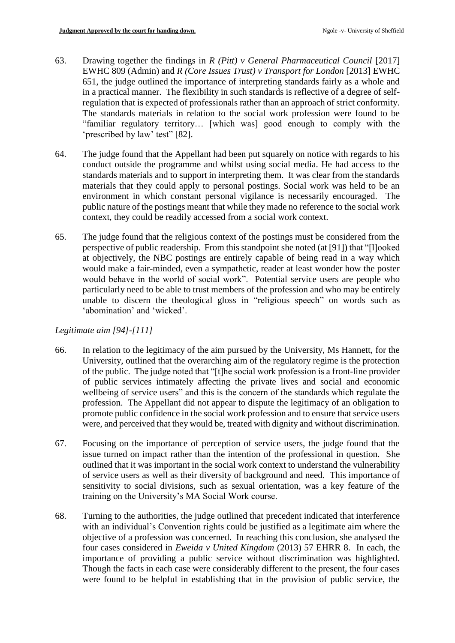- 63. Drawing together the findings in *R (Pitt) v General Pharmaceutical Council* [2017] EWHC 809 (Admin) and *R (Core Issues Trust) v Transport for London* [2013] EWHC 651, the judge outlined the importance of interpreting standards fairly as a whole and in a practical manner. The flexibility in such standards is reflective of a degree of selfregulation that is expected of professionals rather than an approach of strict conformity. The standards materials in relation to the social work profession were found to be "familiar regulatory territory… [which was] good enough to comply with the 'prescribed by law' test" [82].
- 64. The judge found that the Appellant had been put squarely on notice with regards to his conduct outside the programme and whilst using social media. He had access to the standards materials and to support in interpreting them. It was clear from the standards materials that they could apply to personal postings. Social work was held to be an environment in which constant personal vigilance is necessarily encouraged. The public nature of the postings meant that while they made no reference to the social work context, they could be readily accessed from a social work context.
- 65. The judge found that the religious context of the postings must be considered from the perspective of public readership. From this standpoint she noted (at [91]) that "[l]ooked at objectively, the NBC postings are entirely capable of being read in a way which would make a fair-minded, even a sympathetic, reader at least wonder how the poster would behave in the world of social work". Potential service users are people who particularly need to be able to trust members of the profession and who may be entirely unable to discern the theological gloss in "religious speech" on words such as 'abomination' and 'wicked'.

# *Legitimate aim [94]-[111]*

- 66. In relation to the legitimacy of the aim pursued by the University, Ms Hannett, for the University, outlined that the overarching aim of the regulatory regime is the protection of the public. The judge noted that "[t]he social work profession is a front-line provider of public services intimately affecting the private lives and social and economic wellbeing of service users" and this is the concern of the standards which regulate the profession. The Appellant did not appear to dispute the legitimacy of an obligation to promote public confidence in the social work profession and to ensure that service users were, and perceived that they would be, treated with dignity and without discrimination.
- 67. Focusing on the importance of perception of service users, the judge found that the issue turned on impact rather than the intention of the professional in question. She outlined that it was important in the social work context to understand the vulnerability of service users as well as their diversity of background and need. This importance of sensitivity to social divisions, such as sexual orientation, was a key feature of the training on the University's MA Social Work course.
- 68. Turning to the authorities, the judge outlined that precedent indicated that interference with an individual's Convention rights could be justified as a legitimate aim where the objective of a profession was concerned. In reaching this conclusion, she analysed the four cases considered in *Eweida v United Kingdom* (2013) 57 EHRR 8. In each, the importance of providing a public service without discrimination was highlighted. Though the facts in each case were considerably different to the present, the four cases were found to be helpful in establishing that in the provision of public service, the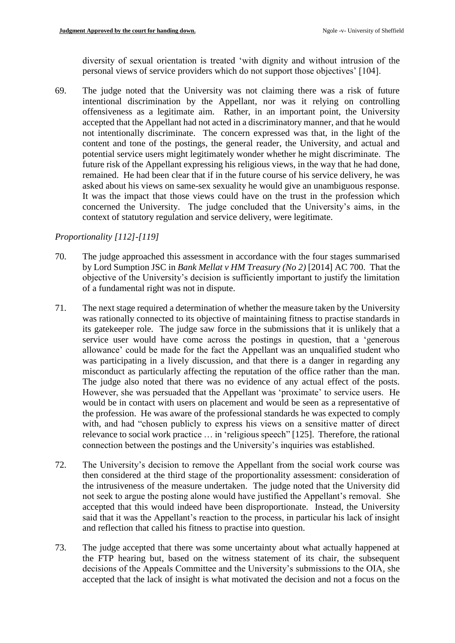diversity of sexual orientation is treated 'with dignity and without intrusion of the personal views of service providers which do not support those objectives' [104].

69. The judge noted that the University was not claiming there was a risk of future intentional discrimination by the Appellant, nor was it relying on controlling offensiveness as a legitimate aim. Rather, in an important point, the University accepted that the Appellant had not acted in a discriminatory manner, and that he would not intentionally discriminate. The concern expressed was that, in the light of the content and tone of the postings, the general reader, the University, and actual and potential service users might legitimately wonder whether he might discriminate. The future risk of the Appellant expressing his religious views, in the way that he had done, remained. He had been clear that if in the future course of his service delivery, he was asked about his views on same-sex sexuality he would give an unambiguous response. It was the impact that those views could have on the trust in the profession which concerned the University. The judge concluded that the University's aims, in the context of statutory regulation and service delivery, were legitimate.

# *Proportionality [112]-[119]*

- 70. The judge approached this assessment in accordance with the four stages summarised by Lord Sumption JSC in *Bank Mellat v HM Treasury (No 2)* [2014] AC 700. That the objective of the University's decision is sufficiently important to justify the limitation of a fundamental right was not in dispute.
- 71. The next stage required a determination of whether the measure taken by the University was rationally connected to its objective of maintaining fitness to practise standards in its gatekeeper role. The judge saw force in the submissions that it is unlikely that a service user would have come across the postings in question, that a 'generous allowance' could be made for the fact the Appellant was an unqualified student who was participating in a lively discussion, and that there is a danger in regarding any misconduct as particularly affecting the reputation of the office rather than the man. The judge also noted that there was no evidence of any actual effect of the posts. However, she was persuaded that the Appellant was 'proximate' to service users. He would be in contact with users on placement and would be seen as a representative of the profession. He was aware of the professional standards he was expected to comply with, and had "chosen publicly to express his views on a sensitive matter of direct relevance to social work practice … in 'religious speech" [125]. Therefore, the rational connection between the postings and the University's inquiries was established.
- 72. The University's decision to remove the Appellant from the social work course was then considered at the third stage of the proportionality assessment: consideration of the intrusiveness of the measure undertaken. The judge noted that the University did not seek to argue the posting alone would have justified the Appellant's removal. She accepted that this would indeed have been disproportionate. Instead, the University said that it was the Appellant's reaction to the process, in particular his lack of insight and reflection that called his fitness to practise into question.
- 73. The judge accepted that there was some uncertainty about what actually happened at the FTP hearing but, based on the witness statement of its chair, the subsequent decisions of the Appeals Committee and the University's submissions to the OIA, she accepted that the lack of insight is what motivated the decision and not a focus on the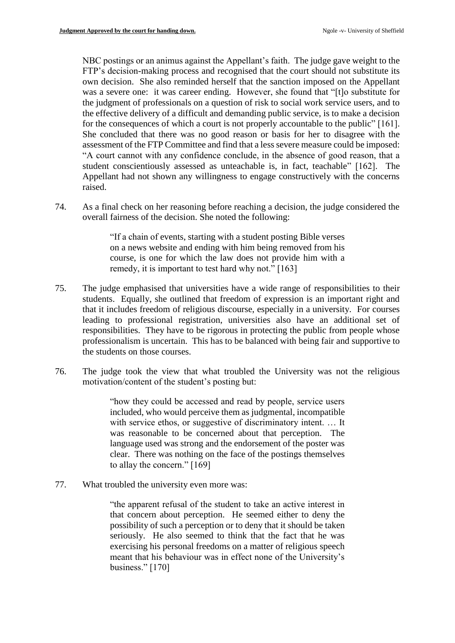NBC postings or an animus against the Appellant's faith. The judge gave weight to the FTP's decision-making process and recognised that the court should not substitute its own decision. She also reminded herself that the sanction imposed on the Appellant was a severe one: it was career ending. However, she found that "[t]o substitute for the judgment of professionals on a question of risk to social work service users, and to the effective delivery of a difficult and demanding public service, is to make a decision for the consequences of which a court is not properly accountable to the public" [161]. She concluded that there was no good reason or basis for her to disagree with the assessment of the FTP Committee and find that a less severe measure could be imposed: "A court cannot with any confidence conclude, in the absence of good reason, that a student conscientiously assessed as unteachable is, in fact, teachable" [162]. The Appellant had not shown any willingness to engage constructively with the concerns raised.

74. As a final check on her reasoning before reaching a decision, the judge considered the overall fairness of the decision. She noted the following:

> "If a chain of events, starting with a student posting Bible verses on a news website and ending with him being removed from his course, is one for which the law does not provide him with a remedy, it is important to test hard why not." [163]

- 75. The judge emphasised that universities have a wide range of responsibilities to their students. Equally, she outlined that freedom of expression is an important right and that it includes freedom of religious discourse, especially in a university. For courses leading to professional registration, universities also have an additional set of responsibilities. They have to be rigorous in protecting the public from people whose professionalism is uncertain. This has to be balanced with being fair and supportive to the students on those courses.
- 76. The judge took the view that what troubled the University was not the religious motivation/content of the student's posting but:

"how they could be accessed and read by people, service users included, who would perceive them as judgmental, incompatible with service ethos, or suggestive of discriminatory intent. … It was reasonable to be concerned about that perception. The language used was strong and the endorsement of the poster was clear. There was nothing on the face of the postings themselves to allay the concern." [169]

77. What troubled the university even more was:

"the apparent refusal of the student to take an active interest in that concern about perception. He seemed either to deny the possibility of such a perception or to deny that it should be taken seriously. He also seemed to think that the fact that he was exercising his personal freedoms on a matter of religious speech meant that his behaviour was in effect none of the University's business." [170]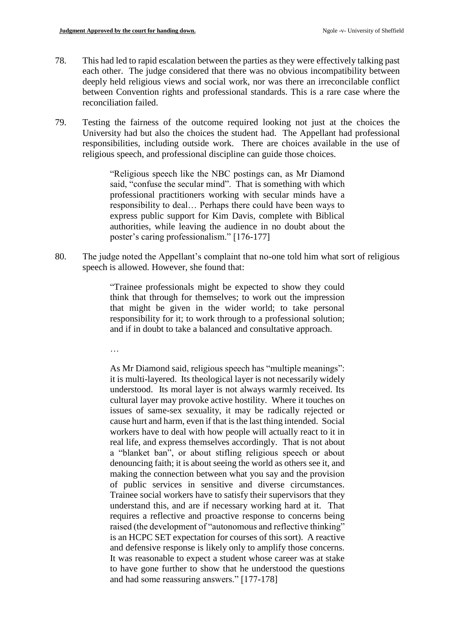- 78. This had led to rapid escalation between the parties as they were effectively talking past each other. The judge considered that there was no obvious incompatibility between deeply held religious views and social work, nor was there an irreconcilable conflict between Convention rights and professional standards. This is a rare case where the reconciliation failed.
- 79. Testing the fairness of the outcome required looking not just at the choices the University had but also the choices the student had. The Appellant had professional responsibilities, including outside work. There are choices available in the use of religious speech, and professional discipline can guide those choices.

"Religious speech like the NBC postings can, as Mr Diamond said, "confuse the secular mind". That is something with which professional practitioners working with secular minds have a responsibility to deal… Perhaps there could have been ways to express public support for Kim Davis, complete with Biblical authorities, while leaving the audience in no doubt about the poster's caring professionalism." [176-177]

80. The judge noted the Appellant's complaint that no-one told him what sort of religious speech is allowed. However, she found that:

> "Trainee professionals might be expected to show they could think that through for themselves; to work out the impression that might be given in the wider world; to take personal responsibility for it; to work through to a professional solution; and if in doubt to take a balanced and consultative approach.

…

As Mr Diamond said, religious speech has "multiple meanings": it is multi-layered. Its theological layer is not necessarily widely understood. Its moral layer is not always warmly received. Its cultural layer may provoke active hostility. Where it touches on issues of same-sex sexuality, it may be radically rejected or cause hurt and harm, even if that is the last thing intended. Social workers have to deal with how people will actually react to it in real life, and express themselves accordingly. That is not about a "blanket ban", or about stifling religious speech or about denouncing faith; it is about seeing the world as others see it, and making the connection between what you say and the provision of public services in sensitive and diverse circumstances. Trainee social workers have to satisfy their supervisors that they understand this, and are if necessary working hard at it. That requires a reflective and proactive response to concerns being raised (the development of "autonomous and reflective thinking" is an HCPC SET expectation for courses of this sort). A reactive and defensive response is likely only to amplify those concerns. It was reasonable to expect a student whose career was at stake to have gone further to show that he understood the questions and had some reassuring answers." [177-178]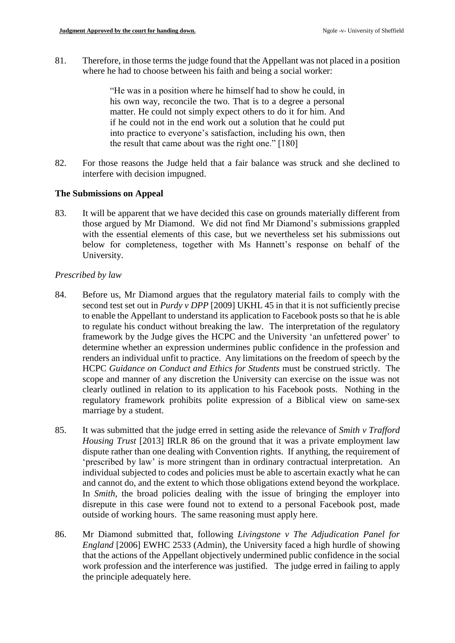81. Therefore, in those terms the judge found that the Appellant was not placed in a position where he had to choose between his faith and being a social worker:

> "He was in a position where he himself had to show he could, in his own way, reconcile the two. That is to a degree a personal matter. He could not simply expect others to do it for him. And if he could not in the end work out a solution that he could put into practice to everyone's satisfaction, including his own, then the result that came about was the right one." [180]

82. For those reasons the Judge held that a fair balance was struck and she declined to interfere with decision impugned.

# **The Submissions on Appeal**

83. It will be apparent that we have decided this case on grounds materially different from those argued by Mr Diamond. We did not find Mr Diamond's submissions grappled with the essential elements of this case, but we nevertheless set his submissions out below for completeness, together with Ms Hannett's response on behalf of the University.

# *Prescribed by law*

- 84. Before us, Mr Diamond argues that the regulatory material fails to comply with the second test set out in *Purdy v DPP* [2009] UKHL 45 in that it is not sufficiently precise to enable the Appellant to understand its application to Facebook posts so that he is able to regulate his conduct without breaking the law. The interpretation of the regulatory framework by the Judge gives the HCPC and the University 'an unfettered power' to determine whether an expression undermines public confidence in the profession and renders an individual unfit to practice. Any limitations on the freedom of speech by the HCPC *Guidance on Conduct and Ethics for Students* must be construed strictly. The scope and manner of any discretion the University can exercise on the issue was not clearly outlined in relation to its application to his Facebook posts. Nothing in the regulatory framework prohibits polite expression of a Biblical view on same-sex marriage by a student.
- 85. It was submitted that the judge erred in setting aside the relevance of *Smith v Trafford Housing Trust* [2013] IRLR 86 on the ground that it was a private employment law dispute rather than one dealing with Convention rights. If anything, the requirement of 'prescribed by law' is more stringent than in ordinary contractual interpretation. An individual subjected to codes and policies must be able to ascertain exactly what he can and cannot do, and the extent to which those obligations extend beyond the workplace. In *Smith*, the broad policies dealing with the issue of bringing the employer into disrepute in this case were found not to extend to a personal Facebook post, made outside of working hours. The same reasoning must apply here.
- 86. Mr Diamond submitted that, following *Livingstone v The Adjudication Panel for England* [2006] EWHC 2533 (Admin), the University faced a high hurdle of showing that the actions of the Appellant objectively undermined public confidence in the social work profession and the interference was justified. The judge erred in failing to apply the principle adequately here.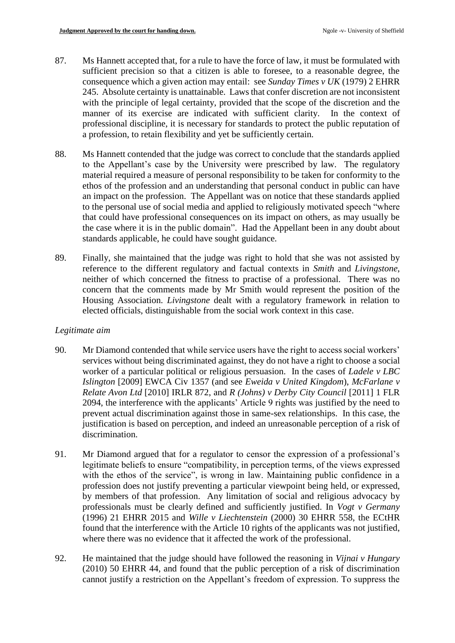- 87. Ms Hannett accepted that, for a rule to have the force of law, it must be formulated with sufficient precision so that a citizen is able to foresee, to a reasonable degree, the consequence which a given action may entail: see *Sunday Times v UK* (1979) 2 EHRR 245. Absolute certainty is unattainable. Laws that confer discretion are not inconsistent with the principle of legal certainty, provided that the scope of the discretion and the manner of its exercise are indicated with sufficient clarity. In the context of professional discipline, it is necessary for standards to protect the public reputation of a profession, to retain flexibility and yet be sufficiently certain.
- 88. Ms Hannett contended that the judge was correct to conclude that the standards applied to the Appellant's case by the University were prescribed by law. The regulatory material required a measure of personal responsibility to be taken for conformity to the ethos of the profession and an understanding that personal conduct in public can have an impact on the profession. The Appellant was on notice that these standards applied to the personal use of social media and applied to religiously motivated speech "where that could have professional consequences on its impact on others, as may usually be the case where it is in the public domain". Had the Appellant been in any doubt about standards applicable, he could have sought guidance.
- 89. Finally, she maintained that the judge was right to hold that she was not assisted by reference to the different regulatory and factual contexts in *Smith* and *Livingstone*, neither of which concerned the fitness to practise of a professional. There was no concern that the comments made by Mr Smith would represent the position of the Housing Association. *Livingstone* dealt with a regulatory framework in relation to elected officials, distinguishable from the social work context in this case.

### *Legitimate aim*

- 90. Mr Diamond contended that while service users have the right to access social workers' services without being discriminated against, they do not have a right to choose a social worker of a particular political or religious persuasion. In the cases of *Ladele v LBC Islington* [2009] EWCA Civ 1357 (and see *Eweida v United Kingdom*), *McFarlane v Relate Avon Ltd* [2010] IRLR 872, and *R (Johns) v Derby City Council* [2011] 1 FLR 2094, the interference with the applicants' Article 9 rights was justified by the need to prevent actual discrimination against those in same-sex relationships. In this case, the justification is based on perception, and indeed an unreasonable perception of a risk of discrimination.
- 91. Mr Diamond argued that for a regulator to censor the expression of a professional's legitimate beliefs to ensure "compatibility, in perception terms, of the views expressed with the ethos of the service", is wrong in law. Maintaining public confidence in a profession does not justify preventing a particular viewpoint being held, or expressed, by members of that profession. Any limitation of social and religious advocacy by professionals must be clearly defined and sufficiently justified. In *Vogt v Germany*  (1996) 21 EHRR 2015 and *Wille v Liechtenstein* (2000) 30 EHRR 558, the ECtHR found that the interference with the Article 10 rights of the applicants was not justified, where there was no evidence that it affected the work of the professional.
- 92. He maintained that the judge should have followed the reasoning in *Vijnai v Hungary*  (2010) 50 EHRR 44, and found that the public perception of a risk of discrimination cannot justify a restriction on the Appellant's freedom of expression. To suppress the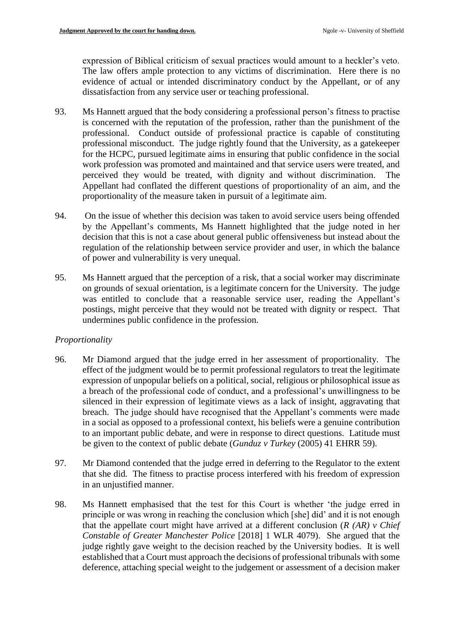expression of Biblical criticism of sexual practices would amount to a heckler's veto. The law offers ample protection to any victims of discrimination. Here there is no evidence of actual or intended discriminatory conduct by the Appellant, or of any dissatisfaction from any service user or teaching professional.

- 93. Ms Hannett argued that the body considering a professional person's fitness to practise is concerned with the reputation of the profession, rather than the punishment of the professional. Conduct outside of professional practice is capable of constituting professional misconduct. The judge rightly found that the University, as a gatekeeper for the HCPC, pursued legitimate aims in ensuring that public confidence in the social work profession was promoted and maintained and that service users were treated, and perceived they would be treated, with dignity and without discrimination. The Appellant had conflated the different questions of proportionality of an aim, and the proportionality of the measure taken in pursuit of a legitimate aim.
- 94. On the issue of whether this decision was taken to avoid service users being offended by the Appellant's comments, Ms Hannett highlighted that the judge noted in her decision that this is not a case about general public offensiveness but instead about the regulation of the relationship between service provider and user, in which the balance of power and vulnerability is very unequal.
- 95. Ms Hannett argued that the perception of a risk, that a social worker may discriminate on grounds of sexual orientation, is a legitimate concern for the University. The judge was entitled to conclude that a reasonable service user, reading the Appellant's postings, might perceive that they would not be treated with dignity or respect. That undermines public confidence in the profession.

# *Proportionality*

- 96. Mr Diamond argued that the judge erred in her assessment of proportionality. The effect of the judgment would be to permit professional regulators to treat the legitimate expression of unpopular beliefs on a political, social, religious or philosophical issue as a breach of the professional code of conduct, and a professional's unwillingness to be silenced in their expression of legitimate views as a lack of insight, aggravating that breach. The judge should have recognised that the Appellant's comments were made in a social as opposed to a professional context, his beliefs were a genuine contribution to an important public debate, and were in response to direct questions. Latitude must be given to the context of public debate (*Gunduz v Turkey* (2005) 41 EHRR 59).
- 97. Mr Diamond contended that the judge erred in deferring to the Regulator to the extent that she did. The fitness to practise process interfered with his freedom of expression in an unjustified manner.
- 98. Ms Hannett emphasised that the test for this Court is whether 'the judge erred in principle or was wrong in reaching the conclusion which [she] did' and it is not enough that the appellate court might have arrived at a different conclusion (*R (AR) v Chief Constable of Greater Manchester Police* [2018] 1 WLR 4079). She argued that the judge rightly gave weight to the decision reached by the University bodies. It is well established that a Court must approach the decisions of professional tribunals with some deference, attaching special weight to the judgement or assessment of a decision maker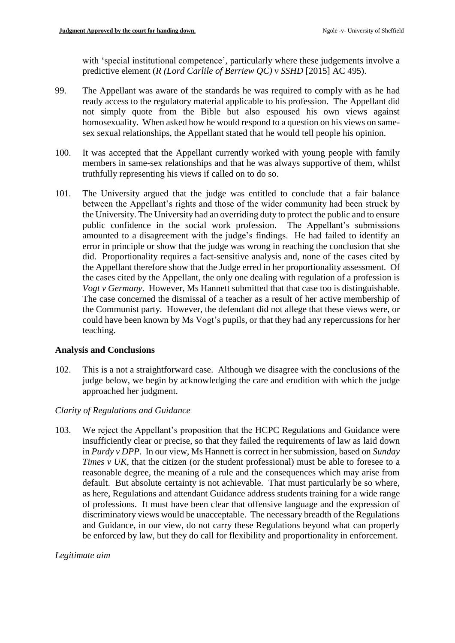with 'special institutional competence', particularly where these judgements involve a predictive element (*R (Lord Carlile of Berriew QC) v SSHD* [2015] AC 495).

- 99. The Appellant was aware of the standards he was required to comply with as he had ready access to the regulatory material applicable to his profession. The Appellant did not simply quote from the Bible but also espoused his own views against homosexuality. When asked how he would respond to a question on his views on samesex sexual relationships, the Appellant stated that he would tell people his opinion.
- 100. It was accepted that the Appellant currently worked with young people with family members in same-sex relationships and that he was always supportive of them, whilst truthfully representing his views if called on to do so.
- 101. The University argued that the judge was entitled to conclude that a fair balance between the Appellant's rights and those of the wider community had been struck by the University. The University had an overriding duty to protect the public and to ensure public confidence in the social work profession. The Appellant's submissions amounted to a disagreement with the judge's findings. He had failed to identify an error in principle or show that the judge was wrong in reaching the conclusion that she did. Proportionality requires a fact-sensitive analysis and, none of the cases cited by the Appellant therefore show that the Judge erred in her proportionality assessment. Of the cases cited by the Appellant, the only one dealing with regulation of a profession is *Vogt v Germany*. However, Ms Hannett submitted that that case too is distinguishable. The case concerned the dismissal of a teacher as a result of her active membership of the Communist party. However, the defendant did not allege that these views were, or could have been known by Ms Vogt's pupils, or that they had any repercussions for her teaching.

### **Analysis and Conclusions**

102. This is a not a straightforward case. Although we disagree with the conclusions of the judge below, we begin by acknowledging the care and erudition with which the judge approached her judgment.

# *Clarity of Regulations and Guidance*

103. We reject the Appellant's proposition that the HCPC Regulations and Guidance were insufficiently clear or precise, so that they failed the requirements of law as laid down in *Purdy v DPP*. In our view, Ms Hannett is correct in her submission, based on *Sunday Times v UK*, that the citizen (or the student professional) must be able to foresee to a reasonable degree, the meaning of a rule and the consequences which may arise from default. But absolute certainty is not achievable. That must particularly be so where, as here, Regulations and attendant Guidance address students training for a wide range of professions. It must have been clear that offensive language and the expression of discriminatory views would be unacceptable. The necessary breadth of the Regulations and Guidance, in our view, do not carry these Regulations beyond what can properly be enforced by law, but they do call for flexibility and proportionality in enforcement.

# *Legitimate aim*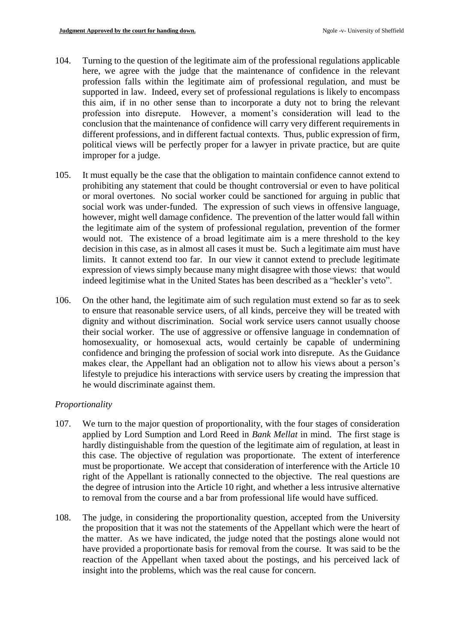- 104. Turning to the question of the legitimate aim of the professional regulations applicable here, we agree with the judge that the maintenance of confidence in the relevant profession falls within the legitimate aim of professional regulation, and must be supported in law. Indeed, every set of professional regulations is likely to encompass this aim, if in no other sense than to incorporate a duty not to bring the relevant profession into disrepute. However, a moment's consideration will lead to the conclusion that the maintenance of confidence will carry very different requirements in different professions, and in different factual contexts. Thus, public expression of firm, political views will be perfectly proper for a lawyer in private practice, but are quite improper for a judge.
- 105. It must equally be the case that the obligation to maintain confidence cannot extend to prohibiting any statement that could be thought controversial or even to have political or moral overtones. No social worker could be sanctioned for arguing in public that social work was under-funded. The expression of such views in offensive language, however, might well damage confidence. The prevention of the latter would fall within the legitimate aim of the system of professional regulation, prevention of the former would not. The existence of a broad legitimate aim is a mere threshold to the key decision in this case, as in almost all cases it must be. Such a legitimate aim must have limits. It cannot extend too far. In our view it cannot extend to preclude legitimate expression of views simply because many might disagree with those views: that would indeed legitimise what in the United States has been described as a "heckler's veto".
- 106. On the other hand, the legitimate aim of such regulation must extend so far as to seek to ensure that reasonable service users, of all kinds, perceive they will be treated with dignity and without discrimination. Social work service users cannot usually choose their social worker. The use of aggressive or offensive language in condemnation of homosexuality, or homosexual acts, would certainly be capable of undermining confidence and bringing the profession of social work into disrepute. As the Guidance makes clear, the Appellant had an obligation not to allow his views about a person's lifestyle to prejudice his interactions with service users by creating the impression that he would discriminate against them.

### *Proportionality*

- 107. We turn to the major question of proportionality, with the four stages of consideration applied by Lord Sumption and Lord Reed in *Bank Mellat* in mind. The first stage is hardly distinguishable from the question of the legitimate aim of regulation, at least in this case. The objective of regulation was proportionate. The extent of interference must be proportionate. We accept that consideration of interference with the Article 10 right of the Appellant is rationally connected to the objective. The real questions are the degree of intrusion into the Article 10 right, and whether a less intrusive alternative to removal from the course and a bar from professional life would have sufficed.
- 108. The judge, in considering the proportionality question, accepted from the University the proposition that it was not the statements of the Appellant which were the heart of the matter. As we have indicated, the judge noted that the postings alone would not have provided a proportionate basis for removal from the course. It was said to be the reaction of the Appellant when taxed about the postings, and his perceived lack of insight into the problems, which was the real cause for concern.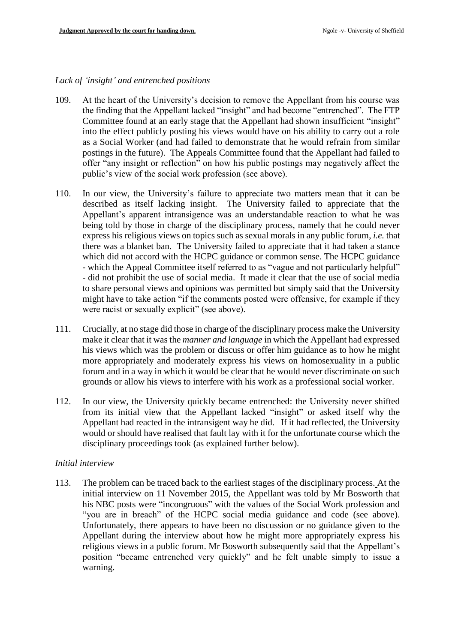#### *Lack of 'insight' and entrenched positions*

- 109. At the heart of the University's decision to remove the Appellant from his course was the finding that the Appellant lacked "insight" and had become "entrenched". The FTP Committee found at an early stage that the Appellant had shown insufficient "insight" into the effect publicly posting his views would have on his ability to carry out a role as a Social Worker (and had failed to demonstrate that he would refrain from similar postings in the future). The Appeals Committee found that the Appellant had failed to offer "any insight or reflection" on how his public postings may negatively affect the public's view of the social work profession (see above).
- 110. In our view, the University's failure to appreciate two matters mean that it can be described as itself lacking insight. The University failed to appreciate that the Appellant's apparent intransigence was an understandable reaction to what he was being told by those in charge of the disciplinary process, namely that he could never express his religious views on topics such as sexual morals in any public forum, *i.e.* that there was a blanket ban. The University failed to appreciate that it had taken a stance which did not accord with the HCPC guidance or common sense. The HCPC guidance - which the Appeal Committee itself referred to as "vague and not particularly helpful" - did not prohibit the use of social media. It made it clear that the use of social media to share personal views and opinions was permitted but simply said that the University might have to take action "if the comments posted were offensive, for example if they were racist or sexually explicit" (see above).
- 111. Crucially, at no stage did those in charge of the disciplinary process make the University make it clear that it was the *manner and language* in which the Appellant had expressed his views which was the problem or discuss or offer him guidance as to how he might more appropriately and moderately express his views on homosexuality in a public forum and in a way in which it would be clear that he would never discriminate on such grounds or allow his views to interfere with his work as a professional social worker.
- 112. In our view, the University quickly became entrenched: the University never shifted from its initial view that the Appellant lacked "insight" or asked itself why the Appellant had reacted in the intransigent way he did. If it had reflected, the University would or should have realised that fault lay with it for the unfortunate course which the disciplinary proceedings took (as explained further below).

#### *Initial interview*

113. The problem can be traced back to the earliest stages of the disciplinary process. At the initial interview on 11 November 2015, the Appellant was told by Mr Bosworth that his NBC posts were "incongruous" with the values of the Social Work profession and "you are in breach" of the HCPC social media guidance and code (see above). Unfortunately, there appears to have been no discussion or no guidance given to the Appellant during the interview about how he might more appropriately express his religious views in a public forum. Mr Bosworth subsequently said that the Appellant's position "became entrenched very quickly" and he felt unable simply to issue a warning.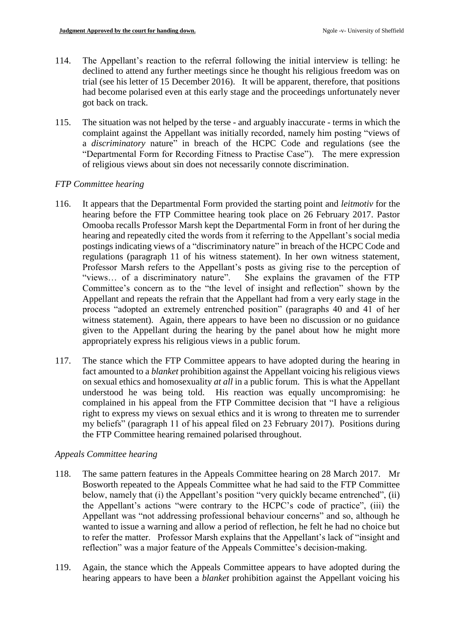- 114. The Appellant's reaction to the referral following the initial interview is telling: he declined to attend any further meetings since he thought his religious freedom was on trial (see his letter of 15 December 2016). It will be apparent, therefore, that positions had become polarised even at this early stage and the proceedings unfortunately never got back on track.
- 115. The situation was not helped by the terse and arguably inaccurate terms in which the complaint against the Appellant was initially recorded, namely him posting "views of a *discriminatory* nature" in breach of the HCPC Code and regulations (see the "Departmental Form for Recording Fitness to Practise Case"). The mere expression of religious views about sin does not necessarily connote discrimination.

# *FTP Committee hearing*

- 116. It appears that the Departmental Form provided the starting point and *leitmotiv* for the hearing before the FTP Committee hearing took place on 26 February 2017. Pastor Omooba recalls Professor Marsh kept the Departmental Form in front of her during the hearing and repeatedly cited the words from it referring to the Appellant's social media postings indicating views of a "discriminatory nature" in breach of the HCPC Code and regulations (paragraph 11 of his witness statement). In her own witness statement, Professor Marsh refers to the Appellant's posts as giving rise to the perception of "views… of a discriminatory nature". She explains the gravamen of the FTP Committee's concern as to the "the level of insight and reflection" shown by the Appellant and repeats the refrain that the Appellant had from a very early stage in the process "adopted an extremely entrenched position" (paragraphs 40 and 41 of her witness statement). Again, there appears to have been no discussion or no guidance given to the Appellant during the hearing by the panel about how he might more appropriately express his religious views in a public forum.
- 117. The stance which the FTP Committee appears to have adopted during the hearing in fact amounted to a *blanket* prohibition against the Appellant voicing his religious views on sexual ethics and homosexuality *at all* in a public forum. This is what the Appellant understood he was being told. His reaction was equally uncompromising: he complained in his appeal from the FTP Committee decision that "I have a religious right to express my views on sexual ethics and it is wrong to threaten me to surrender my beliefs" (paragraph 11 of his appeal filed on 23 February 2017). Positions during the FTP Committee hearing remained polarised throughout.

# *Appeals Committee hearing*

- 118. The same pattern features in the Appeals Committee hearing on 28 March 2017. Mr Bosworth repeated to the Appeals Committee what he had said to the FTP Committee below, namely that (i) the Appellant's position "very quickly became entrenched", (ii) the Appellant's actions "were contrary to the HCPC's code of practice", (iii) the Appellant was "not addressing professional behaviour concerns" and so, although he wanted to issue a warning and allow a period of reflection, he felt he had no choice but to refer the matter. Professor Marsh explains that the Appellant's lack of "insight and reflection" was a major feature of the Appeals Committee's decision-making.
- 119. Again, the stance which the Appeals Committee appears to have adopted during the hearing appears to have been a *blanket* prohibition against the Appellant voicing his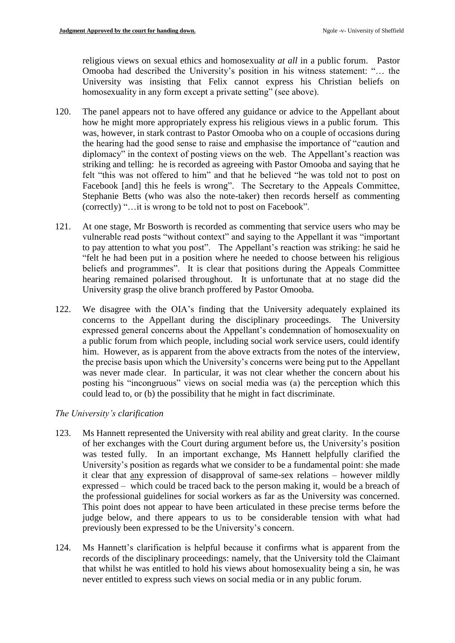religious views on sexual ethics and homosexuality *at all* in a public forum. Pastor Omooba had described the University's position in his witness statement: "… the University was insisting that Felix cannot express his Christian beliefs on homosexuality in any form except a private setting" (see above).

- 120. The panel appears not to have offered any guidance or advice to the Appellant about how he might more appropriately express his religious views in a public forum. This was, however, in stark contrast to Pastor Omooba who on a couple of occasions during the hearing had the good sense to raise and emphasise the importance of "caution and diplomacy" in the context of posting views on the web. The Appellant's reaction was striking and telling: he is recorded as agreeing with Pastor Omooba and saying that he felt "this was not offered to him" and that he believed "he was told not to post on Facebook [and] this he feels is wrong". The Secretary to the Appeals Committee, Stephanie Betts (who was also the note-taker) then records herself as commenting (correctly) "…it is wrong to be told not to post on Facebook".
- 121. At one stage, Mr Bosworth is recorded as commenting that service users who may be vulnerable read posts "without context" and saying to the Appellant it was "important to pay attention to what you post". The Appellant's reaction was striking: he said he "felt he had been put in a position where he needed to choose between his religious beliefs and programmes". It is clear that positions during the Appeals Committee hearing remained polarised throughout. It is unfortunate that at no stage did the University grasp the olive branch proffered by Pastor Omooba.
- 122. We disagree with the OIA's finding that the University adequately explained its concerns to the Appellant during the disciplinary proceedings. The University expressed general concerns about the Appellant's condemnation of homosexuality on a public forum from which people, including social work service users, could identify him. However, as is apparent from the above extracts from the notes of the interview, the precise basis upon which the University's concerns were being put to the Appellant was never made clear. In particular, it was not clear whether the concern about his posting his "incongruous" views on social media was (a) the perception which this could lead to, or (b) the possibility that he might in fact discriminate.

### *The University's clarification*

- 123. Ms Hannett represented the University with real ability and great clarity. In the course of her exchanges with the Court during argument before us, the University's position was tested fully. In an important exchange, Ms Hannett helpfully clarified the University's position as regards what we consider to be a fundamental point: she made it clear that any expression of disapproval of same-sex relations – however mildly expressed – which could be traced back to the person making it, would be a breach of the professional guidelines for social workers as far as the University was concerned. This point does not appear to have been articulated in these precise terms before the judge below, and there appears to us to be considerable tension with what had previously been expressed to be the University's concern.
- 124. Ms Hannett's clarification is helpful because it confirms what is apparent from the records of the disciplinary proceedings: namely, that the University told the Claimant that whilst he was entitled to hold his views about homosexuality being a sin, he was never entitled to express such views on social media or in any public forum.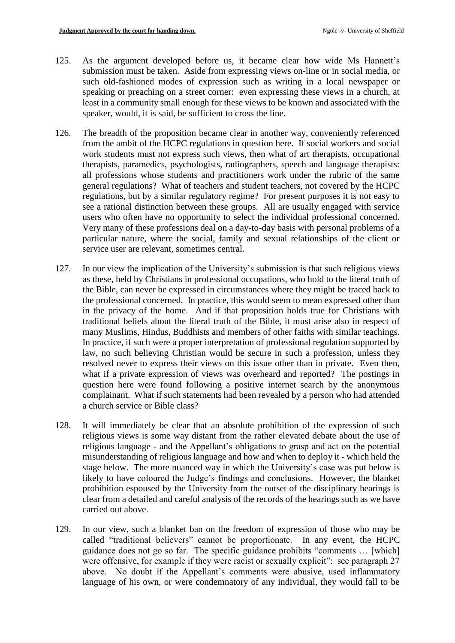- 125. As the argument developed before us, it became clear how wide Ms Hannett's submission must be taken. Aside from expressing views on-line or in social media, or such old-fashioned modes of expression such as writing in a local newspaper or speaking or preaching on a street corner: even expressing these views in a church, at least in a community small enough for these views to be known and associated with the speaker, would, it is said, be sufficient to cross the line.
- 126. The breadth of the proposition became clear in another way, conveniently referenced from the ambit of the HCPC regulations in question here. If social workers and social work students must not express such views, then what of art therapists, occupational therapists, paramedics, psychologists, radiographers, speech and language therapists: all professions whose students and practitioners work under the rubric of the same general regulations? What of teachers and student teachers, not covered by the HCPC regulations, but by a similar regulatory regime? For present purposes it is not easy to see a rational distinction between these groups. All are usually engaged with service users who often have no opportunity to select the individual professional concerned. Very many of these professions deal on a day-to-day basis with personal problems of a particular nature, where the social, family and sexual relationships of the client or service user are relevant, sometimes central.
- 127. In our view the implication of the University's submission is that such religious views as these, held by Christians in professional occupations, who hold to the literal truth of the Bible, can never be expressed in circumstances where they might be traced back to the professional concerned. In practice, this would seem to mean expressed other than in the privacy of the home. And if that proposition holds true for Christians with traditional beliefs about the literal truth of the Bible, it must arise also in respect of many Muslims, Hindus, Buddhists and members of other faiths with similar teachings. In practice, if such were a proper interpretation of professional regulation supported by law, no such believing Christian would be secure in such a profession, unless they resolved never to express their views on this issue other than in private. Even then, what if a private expression of views was overheard and reported? The postings in question here were found following a positive internet search by the anonymous complainant. What if such statements had been revealed by a person who had attended a church service or Bible class?
- 128. It will immediately be clear that an absolute prohibition of the expression of such religious views is some way distant from the rather elevated debate about the use of religious language - and the Appellant's obligations to grasp and act on the potential misunderstanding of religious language and how and when to deploy it - which held the stage below. The more nuanced way in which the University's case was put below is likely to have coloured the Judge's findings and conclusions. However, the blanket prohibition espoused by the University from the outset of the disciplinary hearings is clear from a detailed and careful analysis of the records of the hearings such as we have carried out above.
- 129. In our view, such a blanket ban on the freedom of expression of those who may be called "traditional believers" cannot be proportionate. In any event, the HCPC guidance does not go so far. The specific guidance prohibits "comments … [which] were offensive, for example if they were racist or sexually explicit": see paragraph 27 above. No doubt if the Appellant's comments were abusive, used inflammatory language of his own, or were condemnatory of any individual, they would fall to be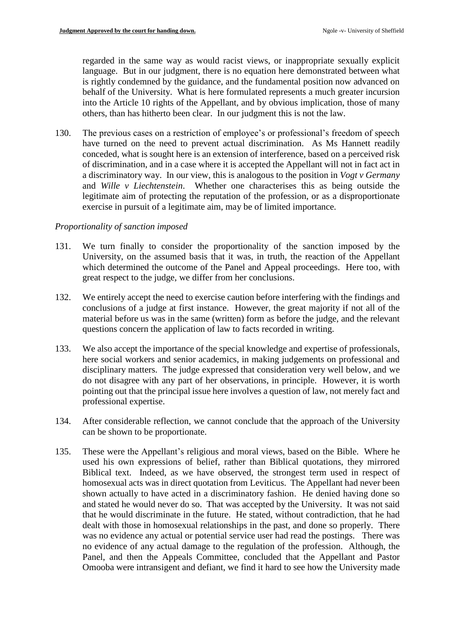regarded in the same way as would racist views, or inappropriate sexually explicit language. But in our judgment, there is no equation here demonstrated between what is rightly condemned by the guidance, and the fundamental position now advanced on behalf of the University. What is here formulated represents a much greater incursion into the Article 10 rights of the Appellant, and by obvious implication, those of many others, than has hitherto been clear. In our judgment this is not the law.

130. The previous cases on a restriction of employee's or professional's freedom of speech have turned on the need to prevent actual discrimination. As Ms Hannett readily conceded, what is sought here is an extension of interference, based on a perceived risk of discrimination, and in a case where it is accepted the Appellant will not in fact act in a discriminatory way. In our view, this is analogous to the position in *Vogt v Germany* and *Wille v Liechtenstein*. Whether one characterises this as being outside the legitimate aim of protecting the reputation of the profession, or as a disproportionate exercise in pursuit of a legitimate aim, may be of limited importance.

### *Proportionality of sanction imposed*

- 131. We turn finally to consider the proportionality of the sanction imposed by the University, on the assumed basis that it was, in truth, the reaction of the Appellant which determined the outcome of the Panel and Appeal proceedings. Here too, with great respect to the judge, we differ from her conclusions.
- 132. We entirely accept the need to exercise caution before interfering with the findings and conclusions of a judge at first instance. However, the great majority if not all of the material before us was in the same (written) form as before the judge, and the relevant questions concern the application of law to facts recorded in writing.
- 133. We also accept the importance of the special knowledge and expertise of professionals, here social workers and senior academics, in making judgements on professional and disciplinary matters. The judge expressed that consideration very well below, and we do not disagree with any part of her observations, in principle. However, it is worth pointing out that the principal issue here involves a question of law, not merely fact and professional expertise.
- 134. After considerable reflection, we cannot conclude that the approach of the University can be shown to be proportionate.
- 135. These were the Appellant's religious and moral views, based on the Bible. Where he used his own expressions of belief, rather than Biblical quotations, they mirrored Biblical text. Indeed, as we have observed, the strongest term used in respect of homosexual acts was in direct quotation from Leviticus. The Appellant had never been shown actually to have acted in a discriminatory fashion. He denied having done so and stated he would never do so. That was accepted by the University. It was not said that he would discriminate in the future. He stated, without contradiction, that he had dealt with those in homosexual relationships in the past, and done so properly. There was no evidence any actual or potential service user had read the postings. There was no evidence of any actual damage to the regulation of the profession. Although, the Panel, and then the Appeals Committee, concluded that the Appellant and Pastor Omooba were intransigent and defiant, we find it hard to see how the University made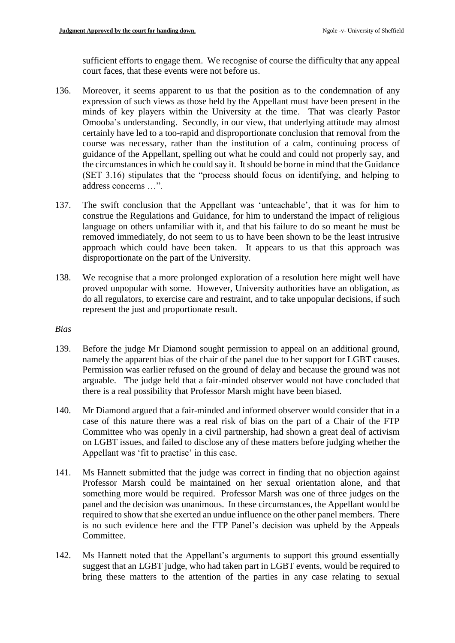sufficient efforts to engage them. We recognise of course the difficulty that any appeal court faces, that these events were not before us.

- 136. Moreover, it seems apparent to us that the position as to the condemnation of any expression of such views as those held by the Appellant must have been present in the minds of key players within the University at the time. That was clearly Pastor Omooba's understanding. Secondly, in our view, that underlying attitude may almost certainly have led to a too-rapid and disproportionate conclusion that removal from the course was necessary, rather than the institution of a calm, continuing process of guidance of the Appellant, spelling out what he could and could not properly say, and the circumstances in which he could say it. It should be borne in mind that the Guidance (SET 3.16) stipulates that the "process should focus on identifying, and helping to address concerns …".
- 137. The swift conclusion that the Appellant was 'unteachable', that it was for him to construe the Regulations and Guidance, for him to understand the impact of religious language on others unfamiliar with it, and that his failure to do so meant he must be removed immediately, do not seem to us to have been shown to be the least intrusive approach which could have been taken. It appears to us that this approach was disproportionate on the part of the University.
- 138. We recognise that a more prolonged exploration of a resolution here might well have proved unpopular with some. However, University authorities have an obligation, as do all regulators, to exercise care and restraint, and to take unpopular decisions, if such represent the just and proportionate result.

### *Bias*

- 139. Before the judge Mr Diamond sought permission to appeal on an additional ground, namely the apparent bias of the chair of the panel due to her support for LGBT causes. Permission was earlier refused on the ground of delay and because the ground was not arguable. The judge held that a fair-minded observer would not have concluded that there is a real possibility that Professor Marsh might have been biased.
- 140. Mr Diamond argued that a fair-minded and informed observer would consider that in a case of this nature there was a real risk of bias on the part of a Chair of the FTP Committee who was openly in a civil partnership, had shown a great deal of activism on LGBT issues, and failed to disclose any of these matters before judging whether the Appellant was 'fit to practise' in this case.
- 141. Ms Hannett submitted that the judge was correct in finding that no objection against Professor Marsh could be maintained on her sexual orientation alone, and that something more would be required. Professor Marsh was one of three judges on the panel and the decision was unanimous. In these circumstances, the Appellant would be required to show that she exerted an undue influence on the other panel members. There is no such evidence here and the FTP Panel's decision was upheld by the Appeals Committee.
- 142. Ms Hannett noted that the Appellant's arguments to support this ground essentially suggest that an LGBT judge, who had taken part in LGBT events, would be required to bring these matters to the attention of the parties in any case relating to sexual